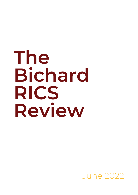# **The Bichard RICS Review**

June 2022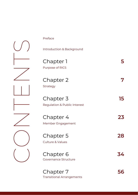| Preface                                              |    |
|------------------------------------------------------|----|
| Introduction & Background                            |    |
| Chapter 1<br>Purpose of RICS                         | 5  |
| Chapter 2<br>Strategy                                |    |
| Chapter 3<br><b>Regulation &amp; Public Interest</b> | 15 |
| Chapter 4<br>Member Engagement                       | 23 |
| Chapter 5<br><b>Culture &amp; Values</b>             | 28 |
| Chapter 6<br><b>Governance Structure</b>             | 34 |
| Chapter 7                                            | 56 |

Transitional Arrangements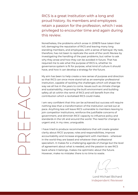RICS is a great Institution with a long and proud history. Its members and employees retain a passion for the profession, which I was privileged to encounter time and again during this review.

Nonetheless, the problems which arose in 2018/19 have taken their toll, damaging the reputation of RICS and leaving many long standing members, and employees, with a sense of betrayal. My task, therefore, has not been to replicate the work of the Levitt Review by investigating the handling of the past problems, but rather to ask why they arose and how they can be avoided in future. That has required me to ask what the purpose of RICS is, whether its governance system is fit for purpose, what kind of culture it should have, and how it can develop a strategy for the future.

My aim has been to help create a new sense of purpose and direction so that RICS can once more stand tall as an exemplar professional institution, capable of tackling the challenges which will shape the way we all live in the years to come. Issues such as climate change and sustainability, improving the built environment and building safety all sit within the remit of RICS and will benefit from the contribution which a revitalised RICS could make.

I am very confident that this can be achieved but success will require nothing less than a transformation of the Institution carried out at pace. Anything less will leave RICS vulnerable to members leaving to join competitor institutions, reinforce the justifiable concerns of government, and diminish RICS' capacity to influence policy and standards in the UK and around the world. The need for change is urgent and, in my view, unarguable.

I have tried to produce recommendations that will create greater clarity about RICS' purpose, roles and responsibilities, improve accountability and increase engagement with members - wherever in the world they are based and whatever their professional specialism. It makes for a challenging agenda of change but the level of agreement about what is needed, and the passion to see RICS back where it belongs, makes me optimistic about the future. However, make no mistake: there is no time to waste.

Lord Michael Bichard Independent Reviewer

 $\bigcap$  $\bigcap$  $\Box$  $\Box$  $\triangleleft$  $\bigcup$  $\Box$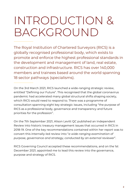## INTRODUCTION & BACKGROUND

The Royal Institution of Chartered Surveyors (RICS) is a globally recognised professional body, which exists to promote and enforce the highest professional standards in the development and management of land, real estate, construction and infrastructure. RICS has over 140,000 members and trainees based around the world spanning 18 sector pathways (specialisms).

On the 3rd March 2021, RICS launched a wide-ranging strategic review, entitled "Defining our Future". This recognised that the global coronavirus pandemic had accelerated many global structural shifts shaping society, which RICS would need to respond to. There was a programme of consultation spanning eight key strategic issues, including "the purpose of RICS as a professional body, governance and transparency and future priorities for the profession".

On the 7th September 2021, Alison Levitt QC published an Independent Review into historic treasury management issues that occurred in RICS in 2018-19. One of the key recommendations contained within her report was to convert this internally-led review into "*a wide-ranging examination of purpose, governance and strategy, conducted by an external reviewer*".

RICS Governing Council accepted these recommendations, and on the 1st December 2021, appointed me to lead this review into the governance, purpose and strategy of RICS.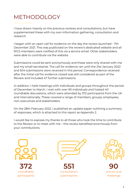## METHODOLOGY

I have drawn heavily on the previous reviews and consultations, but have supplemented these with my own information gathering, consultation and research.

I began with an open call for evidence on the day the review launched - 7th December 2021. This was publicised on the review's dedicated website and all RICS members were notified of this via a service email. Other stakeholders were able to contribute via the website.

Submissions could be sent anonymously and these were only shared with me and my small secretariat. The call for evidence ran until the 21st January 2022 and 504 submissions were received in this period. Correspondence received after the initial call for evidence closed was still considered as part of the Review and included 47 further submissions.

In addition, I held meetings with individuals and groups throughout the period of December to March. I met with over 90 individuals and hosted 40 roundtable discussions, which were attended by 372 participants from the UK and internationally. These covered a range of members, groups, employees, non-executives and stakeholders.

On the 28th February 2022, I published an update paper outlining a summary of responses, which is attached to this report as Appendix 2.

I would like to express my thanks to all those who took the time to contribute to the Review or to meet with me – this review benefited enormously from your contributions.

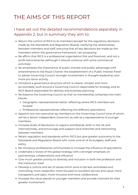## THE AIMS OF THIS REPORT

#### I have set out the detailed recommendations separately in Appendix 2, but in summary they aim to:

- Return the control of RICS to its members (except for the regulatory decisions made by the Standards and Regulation Board), clarifying the relationships between members and staff, ensuring that all key decisions are made by the members within the governance framework I am proposing
- Re-affirm that RICS is a professional organisation first and foremost, and not a profit-led enterprise (although it should continue with some commercial activities)
- Re-emphasise the importance of public interest and public advantage with amendments to the Royal Charter; the establishment of a Public Interest Panel to advise Governing Council; stronger involvement in thought leadership; and more pro-bono activity
- Introduce a governance structure which is clearer, simpler and more accountable, built around a Governing Council responsible for strategy and an RICS Board responsible for delivery and business planning
- Re-balance the Governing Council so that its membership comprises two main blocks:
	- Geographic representatives better reflecting where RICS members are located
	- Professional representatives reflecting the different specialisms
- Appoint two non-executive lay members on the Governing Council (one of whom will be a Senior Independent Governor) as well as a representative of younger members
- Increase levels of devolution to regions and Boards, both in the UK and internationally, and encourage and support local branches and networking between members
- Retain regulation and standards within RICS but give greater autonomy to the Standards and Regulation Board with more control of its budgets, staff and policy
- Re-introduce professional communities to increase the influence of specialisms
- Undertake a review of the global strategy with a stronger emphasis on partnerships, collaborations and influence
- Give much greater priority to diversity and inclusion in both the profession and the Institution itself
- Develop a culture and set of values which aims to be less centralised and controlling, more respectful, more focused on excellent service and value, more transparent and open, more inclusive and more collaborative
- Increase the value placed on younger members and provide channels for their greater involvement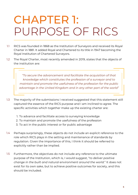## CHAPTER 1: PURPOSE OF RICS

- RICS was founded in 1868 as the Institution of Surveyors and received its Royal Charter in 1881. It added Royal and Chartered to its title in 1947 becoming the Royal Institution of Chartered Surveyors. 1.1
- The Royal Charter, most recently amended in 2019, states that the objects of the institution are: 1.2

*"To secure the advancement and facilitate the acquisition of that knowledge which constitutes the profession of a surveyor and to maintain and promote the usefulness of the profession for the public advantage in the United Kingdom and in any other part of the world"*

- The majority of the submissions I received suggested that this statement still captured the essence of the RICS purpose and I am inclined to agree. The specific activities which together make up the existing charter are: 1.3
	- 1. To advance and facilitate access to surveying knowledge
	- 2. To maintain and promote the usefulness of the profession
	- 3. To act in the public interest or for public advantage
- Perhaps surprisingly, these objects do not include an explicit reference to the role which RICS plays in the setting and maintenance of standards by regulation. Given the importance of this, I think it should be referred to explicitly rather than be implied. 1.4
- Furthermore, the objectives do not include any reference to the ultimate purpose of the Institution, which is, I would suggest, "*to deliver positive change in the built and natural environment around the world.*" It does not exist for its own sake, but to achieve positive outcomes for society, and this should be included. 1.5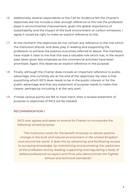- Additionally, several respondents to the Call for Evidence felt the Charter's objectives did not include a clear enough reference to the role the profession plays in environmental improvement, given the global importance of sustainability and the impact of the built environment on carbon emissions. I agree it would be right to make an explicit reference to this. 1.6
- At the moment, the objectives do not contain any reference to the role which the Institution should, and does, play in leading and supporting the profession to achieve the positive outcomes referred to above. The members have made it clear to me that this was a valuable role which has, in the recent past, been given less emphasis as the commercial activities have been prioritised. Again, this deserves an explicit reference in the purpose. 1.7
- Finally, although the Charter does include an important reference to public advantage, this currently sits at the end of the objectives. My view is that everything which RICS does needs to be in the public interest or for the public advantage and that any statement of purpose needs to make that clearer, perhaps by including it at the very start. 1.8
- If these various points are felt to have merit, then a revised statement of purpose or objectives of RICS will be needed. 1.9

#### RECOMMENDATION 1

RICS now agrees and seeks to amend its Charter to incorporate the following revised purpose:

*"The Institution exists for the benefit of society to deliver positive change in the built and natural environment in the United Kingdom and around the world. It does this by advancing and facilitating access to surveying knowledge, by maintaining and promoting the usefulness of the profession and by leading, supporting and regulating a body of skilled professional surveyors and firms who demonstrate the highest ethical and technical standards".*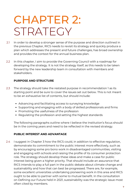## CHAPTER 2: STRATEGY

- In order to develop a stronger sense of the purpose and direction outlined in the previous Chapter, RICS needs to revisit its strategy and quickly produce a plan which addresses the present and future challenges, has broad ownership and provides the context for the annual business plan. 2.1
- In this chapter, I aim to provide the Governing Council with a roadmap for developing the strategy. It is not the strategy itself, as this needs to be taken forward by the new leadership team in consultation with members and stakeholders. 2.2

#### **PURPOSE AND STRUCTURE**

- The strategy should take the restated purpose in recommendation 1 as its starting point and be sure to cover the issues set out below. This is not meant to be an exhaustive list of contents, but should include: 2.3
	- Advancing and facilitating access to surveying knowledge
	- Supporting and engaging with a body of skilled professionals and firms
	- Promoting the usefulness of the profession
	- Regulating the profession and setting the highest standards

The following paragraphs outline where I believe the Institution's focus should be in the coming years and need to be reflected in the revised strategy.

#### **PUBLIC INTEREST AND ADVANTAGE**

I suggest in Chapter 3 how the RICS could, in addition to effective regulation, demonstrate its commitment to the public interest more effectively, such as by encouraging some pro bono work in disadvantaged communities, visiting and engaging with schools and raising the profile of its consumer protection role. The strategy should develop these ideas and make a case for public interest being given a higher priority. That should include an assurance that RICS intends to play a full part in the public debate about climate change and sustainability and how that can best be progressed. There are, for example, some excellent universities undertaking pioneering work in this area and RICS ought to be able to partner with some to mutual benefit. In the consultation on Defining our Future held in 2021, sustainability was the strategic issue most often cited by members. 2.4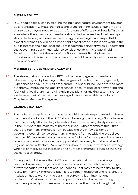#### **SUSTAINABILITY**

RICS should take a lead in steering the built and natural environment towards decarbonisation. Climate change is one of the defining issues of our time and chartered surveyors need to be at the forefront of efforts to address it. This is an area where the expertise of members should be harnessed and partnerships should be leveraged to ensure the strategy is meaningful and impactful. I expect sustainability will be an important aspect of the Institution's work in the public interest and a focus for thought leadership going forwards. I understand that Governing Council may wish to consider establishing a Sustainability Panel to complement the work of the Public Interest Panel, given the importance of this issue for the profession. I would certainly not oppose such a recommendation. 2.5

#### **MEMBER SERVICES AND ENGAGEMENT**

The strategy should show how RICS will better engage with members, wherever they sit, by building on the progress of the Member Engagement, Experience and Value (MEEV) programme. This should include devolving more autonomy, improving the quality of service, encouraging local networking and facilitating local branches. It will explain the plans for making essential CPD available as part of the member package. I have covered this more fully in Chapter 4 (Member Engagement). 2.6

#### **GLOBAL STRATEGY**

- The global strategy is a contentious issue which needs urgent attention. Some members do not accept that RICS should have a global strategy. Some believe that the priority afforded to globalisation has impacted negatively on services in the UK where the majority of members work. Other members think that there are too many members from outside the UK in key positions on Governing Council. Conversely, many members from outside the UK believe that the UK has seemed on occasions to be "colonial" in its approach and more recently has failed to provide the support staff necessary to make local and regional boards effective. Many members have questioned whether a strategy which is primarily about increasing the number of members outside the UK is the correct strategy. 2.7
- For my part, I do believe that RICS is an international Institution simply because businesses, projects and indeed members themselves are no longer always managed within national boundaries. That may not be the day-to-day reality for many UK members, but if it is to remain respected and relevant, the Institution has to work on the basis that surveying is an international profession. What seems to me more questionable is whether recruiting members primarily to increase income should be the driver of the global 2.8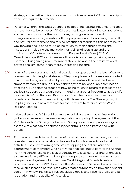strategy and whether it is sustainable in countries where RICS membership is often not required to practise.

- Personally, I think the strategy should be about increasing influence, and that is more likely to be achieved if RICS becomes better at building collaborations and partnerships with other institutions, firms, governments and intergovernmental organisations. If the purpose is about improving the built and natural environment and raising practitioner standards, this has to be the way forward and it is the route being taken by many other professional institutions, including the Institution for Civil Engineers (ICE) and the Institution of Chartered Accountants in England and Wales (ICAEW). One of the ways RICS can increase influence is of course by gaining more members but gaining more members should be about the proliferation of professionalism, rather than merely increasing income. 2.9
- Many of the regional and national boards I met questioned the level of current commitment to the global strategy. They complained of the excessive control of activities being undertaken by staff in the central office and the loss of support staff on the ground. They said they were no longer able to function effectively. I understand steps are now being taken to return at least some of the local support, but I would recommend that greater freedom to act is swiftly devolved to World Regional Boards, and from them down to more local boards, and the executives working with those boards. The Strategy might helpfully include a new template for the Terms of Reference of the World Regional Boards. 2.10
- I also believe that RICS could do more to collaborate with other institutions globally on issues such as service, regulation and policy. The agreement that RICS has with the Society of Chartered Surveyors in Ireland provides a good example of what can be achieved by decentralising and partnering with others. 2.11
- Further work needs to be done to define what cannot be devolved, such as core standards, and what should be devolved, such as events and local activities. The current arrangements are sapping the enthusiasm and commitment of members who rightly feel that seeking to control everything from the centre results in a lack of sensitivity to local cultures and priorities. It also makes it very difficult to be agile enough to compete with growing local competition. A system which requires World Regional Boards to submit business plans to the RICS Board via the Membership Services Committee and receive an allocation of resources with greater autonomy on how that is spent could, in my view, revitalise RICS activities globally and raise its profile and its reputation and the quality of its service. 2.12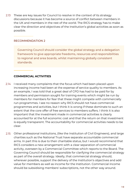These are key issues for Council to resolve in the context of its strategy discussions because it has become a source of conflict between members in the UK and members in the rest of the world. The RICS strategy has to make clear the direction and objectives of the Institution's global activities as soon as possible. 2.13

#### RECOMMENDATION 2

Governing Council should consider the global strategy and a delegation framework to give appropriate freedoms, resources and responsibilities to regional and area boards, whilst maintaining globally consistent standards.

#### **COMMERCIAL ACTIVITIES**

- 2.14 I received many complaints that the focus which had been placed upon increasing income had been at the expense of service quality to members. As an example, I was told that a great deal of CPD has had to be paid for by members and permission sought for training events which might be run by members for members for fear that these might compete with commercially run programmes. I see no reason why RICS should not have commercial programmes and activities, but I think it is wrong if these dominate to such an extent that the core offer of free services to members suffers. I think it is also important that the investment made in commercial activities is clearly accounted for at the full economic cost and that the return on that investment is equally transparent. The accountability for commercial activities needs to be clear.
- 2.15 Other professional institutions, (like the Institution of Civil Engineers), and large charities such as the National Trust have separate accountable commercial arms. In part this is due to their charitable status, but I would recommend that RICS considers a new arrangement with a clear separation of commercial activity, overseen by a Commercial Committee which reports to the Board. The Governing Council should be responsible for clarifying the commercial strategy as part of the overall strategy. Ideally, that commercial strategy should, wherever possible, support the delivery of the Institution's objectives and add value for members as well as income for the Institution. Commercial income should be subsidising members' subscriptions, not the other way around.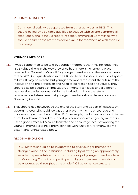#### RECOMMENDATION 3

Commercial activity be separated from other activities at RICS. This should be led by a suitably qualified Executive with strong commercial experience, and it should report into the Commercial Committee, who should ensure these activities deliver value for members as well as value for money.

#### **YOUNGER MEMBERS**

- I was disappointed to be told by younger members that they no longer felt RICS valued them in the way they once had. There is no longer a place reserved on Governing Council for younger members and the arrangements for the 2021 APC qualification in the UK had been disastrous because of system failures. It may be a cliché but younger members represent the future of the Institution and the profession and need to be recognised and valued. They should also be a source of innovation, bringing fresh ideas and a different perspective to discussions within the Institution. I have therefore recommended elsewhere that younger members should have a place on Governing Council. 2.16
- That should not, however, be the end of the story and as part of its strategy, Governing Council should look at other ways in which to encourage and involve younger members. In the US, for example, the Urban Land Institute has a small endowment fund to support pro bono work which young members use to good effect. RICS could facilitate and encourage local networking for younger members to help them connect with what can, for many, seem a distant and uninterested body. 2.17

#### RECOMMENDATION 4

RICS Matrics should be re-invigorated to give younger members a stronger voice in the Institution, including by allowing an appropriately selected representative from the community of younger members to sit on Governing Council, and participation by younger members should be encouraged throughout the whole RICS governance structure.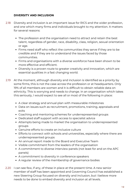#### **DIVERSITY AND INCLUSION**

- Diversity and inclusion is an important issue for RICS and the wider profession, 2.18 and one which many firms and individuals brought to my attention. It matters for several reasons:
	- The profession and the organisation need to attract and retain the best talent, regardless of gender, race, disability, class, religion, sexual orientation or age.
	- Firms need staff who reflect the communities they serve if they are to be credible and if they are to understand the issues faced by those communities.
	- Firms and organisations with a diverse workforce have been shown to be more effective and efficient.
	- Diversity is a proven route to greater creativity and innovation, which are essential qualities in a fast changing world.
- At the moment, although diversity and inclusion is identified as a priority by 2.19 some firms, this is not the case across the profession or at headquarters. Only 19% of all members are women and it is difficult to obtain reliable data on ethnicity. This is worrying and needs to change. In an organisation which takes this seriously, I would expect to see all or most of the following in place:
	- A clear strategy and annual plan with measurable milestones
	- Data on issues such as recruitment, promotions, training, appraisals and exits
	- Coaching and mentoring schemes for underrepresented groups
	- Dedicated staff support with access to specialist advice
	- Attempts being made to market the organisation to underrepresented groups
	- Genuine efforts to create an inclusive culture
	- Efforts to connect with schools and universities, especially where there are underrepresented groups
	- An annual report made to the Board and Executive Team
	- Visible commitment from the leaders of the organisation
	- A commitment to diverse interview panels (not least for and on the APC panels)
	- A commitment to diversity in conference speakers
	- A regular review of the membership of governance bodies
- 2.20 I can see few, if any, of these in place at the present time. A new senior member of staff has been appointed and Governing Council has established a new Steering Group focused on diversity and inclusion, but I believe more needs to be done to embed diversity and inclusion at all levels.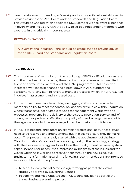I am therefore recommending a Diversity and Inclusion Panel is established to provide advice to the RICS Board and the Standards and Regulation Board. This would be Chaired by an appointed RICS Member with relevant experience in diversity and inclusion, with the ability to co-opt independent members with expertise in this critically important area. 2.21

#### RECOMMENDATION 5

A Diversity and Inclusion Panel should be established to provide advice to the RICS Board and Standards and Regulation Board.

#### **TECHNOLOGY**

- The importance of technology in the rebuilding of RICS is difficult to overstate 2.22 and that has been illustrated by the extent of the problems which resulted from the flawed implementation of the D365 programme. This has led to increased workloads in finance and a breakdown in APC support and assessment, forcing staff to revert to manual processes which, in turn, resulted in delays in assessment and increased costs.
- Furthermore, there have been delays in logging CPD which has affected members' ability to meet mandatory obligations, difficulties within Regulation where teams have been unable to use case management workflows and processes, problems in the delivery of the Dispute Resolution Service and, of course, serious problems affecting the quality of member engagement with the organisation which have damaged member trust and confidence. 2.23
- If RICS is to become once more an exemplar professional body, these issues need to be resolved and arrangements put in place to ensure they do not reoccur. That process has already started with the appointment of the interim Chief Information Officer and he is working to align the technology strategy with the business strategy and so address the misalignment between system capability and user needs. I was impressed by his grasp of the issues and the way in which he is working to resolve them through the new Executive Business Transformation Board. The following recommendations are intended to support his work going forwards: 2.24
	- To set out clearly the RICS technology strategy as part of the overall strategy approved by Governing Council
	- To confirm and keep updated the RICS technology plan as part of the annual business planning process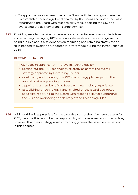- To appoint a co-opted member of the Board with technology experience
- To establish a Technology Panel chaired by the Board's co-opted specialist, reporting to the Board with responsibility for supporting the CIO and overseeing the delivery of the Technology Plan.
- 2.25 Providing excellent service to members and potential members in the future, and effectively managing RICS resources, depends on these arrangements being put in place. It also depends on recruiting and retaining staff with the skills needed to avoid the fundamental errors made during the introduction of D365.

#### RECOMMENDATION 6

RICS needs to significantly improve its technology by:

- Setting out the RICS technology strategy as part of the overall strategy approved by Governing Council
- Confirming and updating the RICS technology plan as part of the annual business planning process
- Appointing a member of the Board with technology experience
- Establishing a Technology Panel chaired by the Board's co-opted specialist, reporting to the Board with responsibility for supporting the CIO and overseeing the delivery of the Technology Plan
- 2.26 I did not think it appropriate for me to draft a comprehensive new strategy for RICS, because this has to be the responsibility of the new leadership. I am clear, however, that their strategy must convincingly cover the seven issues set out in this chapter.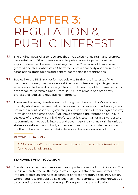## CHAPTER 3: REGULATION & PUBLIC INTEREST

- The original Royal Charter declares that RICS exists to maintain and promote the usefulness of the profession 'for the public advantage'. Without that explicit reference I believe it is unlikely that the Charter would have been granted and this is what sets a Chartered professional body apart from trade associations, trade unions and general membership organisations. 3.1
- Bodies like the RICS are not formed solely to further the interests of their members. Instead, they provide a vehicle for a profession to join together and advance for the benefit of society. The commitment to public interest or public advantage must remain unequivocal if RICS is to remain one of the few professional bodies to regulate its members. 3.2
- There are, however, stakeholders, including members and UK Government officials, who have told me that, in their view, public interest or advantage has not in the recent past been given the priority it deserves. Others regret the way in which the problems of 2018/2019 have damaged the reputation of RICS in the eyes of the public. I think, therefore, that it is essential for RICS to reassert its commitment to public interest and advantage if it is to maintain its unique status as a self-regulating body and move forward with confidence restored. For that to happen it needs to take decisive action on a number of fronts. 3.3

#### RECOMMENDATION 7

RICS should reaffirm its commitment to work in the public interest and for the public advantage.

#### **STANDARDS AND REGULATION**

Standards and regulation represent an important strand of public interest. The public are protected by the way in which rigorous standards are set for entry into the profession and rules of conduct enforced through disciplinary action where required. The public also expect technical competence and knowledge to be continuously updated through lifelong learning and validation. 3.4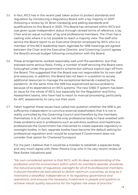- In fact, RICS has in the recent past taken action to protect standards and regulation by introducing a Regulatory Board with a lay majority in 2007 (following a review by Sir Brian Carsberg) and adding standards and qualifications to this Board in 2020. This Board has remained within RICS but was given quasi-independent status through revised terms of reference, a lay Chair and an equal number of lay and professional members. The Chair has a casting vote where it is not possible to reach a majority view. The staff who service the Board report to an Executive Director employed by RICS who is a member of the RICS leadership team. Agendas for SRB meetings are agreed between the Chair and the Executive Director, and Governing Council agrees the Board's annual budget following consultation with the Board. 3.5
- These arrangements worked reasonably well until the pandemic, but that exposed some serious flaws. Firstly, a number of staff servicing the Board were furloughed under the government's scheme but without explicit sign-off from the Board. This suggested that the Board was not responsible for its own staff and resources. In addition, the Board has not been in a position to access additional resources to manage the exceptional demands created by the pandemic. At the same time the SRB has experienced serious problems because of its dependence on RICS systems. The new D365 IT system has been an issue for the whole of RICS, but especially for the Regulation and Entry Assessment teams, who have had to resort to manual processing, particularly for APC assessments, to carry out their work. 3.6
- Taken together these issues have called into question whether the SRB is yet sufficiently independent to convince external stakeholders that it is not in reality controlled by the Governing Council and therefore by the members themselves. It is, of course, not the only professional body to have wrestled with these problems and in professions such as solicitors, auditors and healthcare professionals the Government has intervened to create separate regulatory or oversight bodies. In fact, separate bodies have become the default setting for professional regulation and I would be surprised if Government does not consider that option for Chartered Surveyors. 3.7

For my part, I believe that it would be a mistake to establish a separate body and very much agree with Peter Pereira Gray who in his very recent review of Real Estate Valuations said:

*"My own considered opinion is that RICS, with its deep understanding of the profession and the environment within which its members operate, should be the natural provider of regulatory oversight for all of its professional members. It should therefore be best placed to deliver optimum outcomes, so long as it maintains a steadfast independence in its regulatory governance and operations, and ensures the necessary investment in people and systems to achieve robust quality assurance for the highest risk areas of practice."*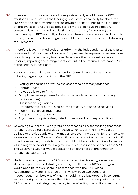- Moreover, to impose a separate UK regulatory body would damage RICS' efforts to be accepted as the leading global professional body for chartered surveyors and thereby endanger the advantage that brings to the UK's trade efforts overseas. It would also prove to be more expensive. In addition, surveying is not a reserved activity (in contrast to law, for example) and membership of RICS is wholly voluntary. In these circumstances it is difficult to envisage how a standalone regulator could operate in the absence of statutory requirements. 3.8
- I therefore favour immediately strengthening the independence of the SRB to create and maintain clear divisions which prevent the representative functions prejudicing the regulatory functions. To achieve that I suggest, so far as possible, importing the arrangements set out in the Internal Governance Rules of the Legal Services Board. 3.9

For RICS this would mean that Governing Council would delegate the following regulatory functions to the SRB:

- Setting standards and writing the associated necessary guidance
- Conduct Rules
- Rules applicable to firms
- Disciplinary arrangements in relation to regulated persons (including discipline rules)
- Qualification regulations
- Arrangements for authorising persons to carry out specific activities
- Indemnification arrangements
- Compensation arrangements
- Any other appropriate designated professional body responsibilities
- Governing Council would only retain the responsibility for assuring that these 3.10 functions are being discharged effectively. For its part the SRB would be obliged to provide sufficient information to Governing Council for them to take a view on that, and Governing Council could only require further information if it had reasonable grounds to do so. It would not be able to require information which might be considered likely to undermine the independence of the SRB. The Governing Council would debate the effectiveness of the regulatory function at least annually.
- Under this arrangement the SRB would determine its own governance structure, priorities, and strategy, feeding into the wider RICS strategy, and would appoint its own Board in accordance with the RICS Global Appointments Model. This should, in my view, have two additional independent members one of whom should have a background in consumer services or rights. I also believe that it is important for the composition of the SRB to reflect the strategic regulatory issues affecting the built and natural 3.11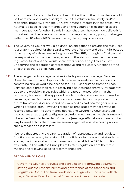environment. For example, I would like to think that in the future there would be Board members with a background in UK valuation, fire safety and/or residential property, given the UK Government's interest in those areas. I will not make a specific recommendation on the geographic location of Board members (as I do for other Boards in later chapters), however I do believe it is important that the composition reflect the major regulatory policy challenges within the UK where RICS has unique regulatory responsibilities.

- The Governing Council would be under an obligation to provide the resources reasonably required for the Board to operate effectively and this might best be done by way of a three-year rolling budget. The SRB, through its Chair, would be responsible for the line management of the staff who serviced the core regulatory functions and would share other services only if this did not undermine the separation of representative and regulatory functions or the effective discharge of its functions. 3.12
- The arrangements for legal services include provision for a Legal Services Board to deal with any disputes or to receive requests for clarification and something similar would be needed for RICS. I understand from the Legal Services Board that their role in resolving disputes happens very infrequently due to the provision in the rules which creates an expectation that the regulatory bodies and the approved regulators should endeavour to resolve issues together. Such an expectation would need to be incorporated into a future framework document and be examined as part of a five year review, which I propose later. However, I recognise that issues may not always be resolved between the governance bodies, and Governing Council should incorporate an appropriate dispute resolution mechanism into the framework, where the Senior Independent Governor (see page 40) believes there is not a way forward. I think that there are several organisations who could provide such a service as a last resort. 3.13

I believe that creating a clearer separation of representative and regulatory functions is necessary to retain public confidence in the way that standards and regulation are set and maintained and to enable the SRB to function efficiently, in line with the Principles of Better Regulation. I am therefore making the following specific recommendations:

#### RECOMMENDATION 8

Governing Council produces and consults on a framework document setting out the responsibilities and governance of the Standards and Regulation Board. This framework should align where possible with the Legal Services Board's Internal Governance Rules and include: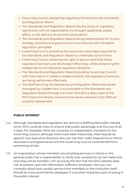- Governing Council delegating regulatory functions to the Standards and Regulation Board
- The Standards and Regulation Board only focusing on regulatory operations, with no responsibility for thought leadership, public affairs, or the delivery of commercial products
- The Standards and Regulation Board taking responsibility for its own strategy, priorities and governance in accordance with the better regulation principles
- Governing Council providing the resources reasonably required for the Standards and Regulation Board to undertake its functions
- Governing Council retaining the right to assure itself that these regulatory functions are discharged effectively, whilst preserving the independence of individual regulatory decisions
- The Standards and Regulation Board providing Governing Council with information it needs to assess whether the regulatory functions are being performed effectively
- The Staff servicing the Standards and Regulation Board should be managed by a leader who is accountable to the Standards and Regulation Board through the Chair and who is also a part of the RICS Executive Board, to ensure that issues relevant to the SRB are properly represented

#### **PUBLIC INTEREST**

- Although standards and regulation are central to fulfilling the public interest 3.14 remit, RICS could do more to ensure that public advantage is at the core of all it does. For example, there are currently no independent members on the Governing Council, although there have been historically. Most boards do appoint non-executive directors who can use their wider experience to inform discussions and governance and the Governing Council could benefit from something similar.
- An organisation whose members are providing services to clients or the general public has a responsibility to clarify how complaints can be made and how they will be handled. I am struck by the fact that the RICS website does not, at present, give this information sufficient emphasis. How you can complain about poor quality service from members or the Institution itself should be more prominently displayed. It is another important part of acting in the public interest. 3.15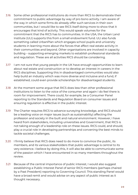- Some other professional institutions do more than RICS to demonstrate their commitment to public advantage by way of pro bono activity. I am aware of the way in which some firms do already offer such services in their own communities, but I would like to see RICS itself doing more to show that it encourages that kind of activity. This would speak volumes for the commitment that the RICS has to communities. In the USA, the Urban Land Institute (ULI) supports this from a small endowment fund. ULI also funds something called UrbanPlan which engages school pupils and university students in learning more about the forces that affect real estate activity in their communities and beyond. Other organisations are involved in capacity building – supporting emerging markets to establish professional standards and regulation. These are all activities RICS should be considering. 3.16
- I am not sure that young people in the UK have enough opportunities to learn about real estate and construction or to develop an interest in careers in the RICS disciplines. Supporting this in disadvantaged communities would also help build an industry which was more diverse and inclusive and a fund, if established, could even provide scholarships for disadvantaged students. 3.17
- At the moment some argue that RICS does less than other professional 3.18 institutions to listen to the voice of the consumer and again I do feel there is room for improvement. There could, for example, be a Consumer Panel reporting to the Standards and Regulation Board on consumer issues and ensuring regulation is effective in the public interest.
- The Charter requires RICS to advance surveying knowledge, and RICS should 3.19 be a leading voice on major issues (such as sustainability) affecting the profession and society in the built and natural environment. However, I have heard from stakeholders, including universities and Government, that RICS is not taking enough of a leadership role on these issues. RICS could, and should, play a crucial role in developing partnerships and convening the best minds to tackle societal challenges.
- I firmly believe that RICS does need to do more to convince the public, its 3.20 members, and its various stakeholders that public advantage is central to its very existence. I believe by doing this, it will also be able to communicate some of the passion which I have encountered in so many members throughout the review.
- Because of the central importance of public interest, I would also suggest establishing a Public Interest Panel of senior RICS members (perhaps chaired by a Past President) reporting to Governing Council. This standing Panel would have a broad remit and would advise on any aspect of public interest as it thought necessary. 3.21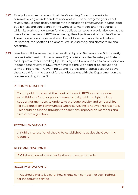- 3.22 Finally, I would recommend that the Governing Council commits to commissioning an independent review of RICS once every five years. That review should specifically consider the Institution's effectiveness in upholding public trust and confidence in the work of its members and the degree to which its work is undertaken for the public advantage. It would also look at the overall effectiveness of RICS in achieving the objectives set out in the Charter. These independent reviews should be published and also placed before Parliament, the Scottish Parliament, Welsh Assembly and Northern Ireland Assembly.
- Members will be aware that the Levelling Up and Regeneration Bill currently 3.23before Parliament includes (clause 186) provision for the Secretary of State of the Department for Levelling Up, Housing and Communities to commission an independent review of RICS 'from time to time' with similar objectives and terms of reference. If Governing Council agrees the proposals set out above, these could form the basis of further discussions with the Department on the precise wording in the Bill.

#### RECOMMENDATION 9

To put public interest at the heart of its work, RICS should consider establishing a fund for public interest activity, which might include support for members to undertake pro bono activity and scholarships for students from communities where surveying is not well represented. This could be funded through the sanctions imposed on members and firms from regulation.

#### RECOMMENDATION 10

A Public Interest Panel should be established to advise the Governing Council.

#### RECOMMENDATION 11

RICS should develop further its thought leadership role.

#### RECOMMENDATION 12

RICS should make it clearer how clients can complain or seek redress for inadequate service.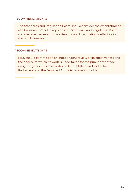#### RECOMMENDATION 13

The Standards and Regulation Board should consider the establishment of a Consumer Panel to report to the Standards and Regulation Board on consumer issues and the extent to which regulation is effective in the public interest.

#### RECOMMENDATION 14

RICS should commission an independent review of its effectiveness and the degree to which its work is undertaken for the public advantage every five years. This review should be published and laid before Parliament and the Devolved Administrations in the UK.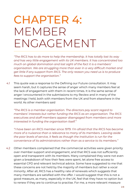## CHAPTER 4: MEMBER ENGAGEMENT

*"The RICS has to do more to help the membership. It has totally lost its way and has very little engagement with its UK members. It has concentrated too much on global domination and lost sight of the fact it is a members' organisation. We are struggling more than ever in a very difficult market and get little if any support from RICS. The only reason you need us is to produce fees to support the organisation."*

This quote was a response to the Defining our Future consultation. It may seem harsh, but it captures the sense of anger which many members feel at the lack of engagement with them in recent times. It is the same sense of anger I encountered in the submissions to my Review and in many of the meetings I held, both with members from the UK and from elsewhere in the world. As other members said 4.1

*"The RICS is a member organisation. The directors pay scant regard to members' interests but rather funding the RICS as an organisation. The RICS executives and staff members appear disengaged from members and more interested in funding the organisation itself."*

*"I have been an RICS member since 1979. I'm afraid that the RICS has become more of a nuisance than a relevance to many of its members. Leaving aside the poor levels of service, it feels as though the Institution is run for the convenience of its administrators rather than as a service to its members."*

Other members complained that the commercial activities were given priority over member support and engagement, and that RICS was not sufficiently open and transparent with its members. Many complained they were not even given a breakdown of how their fees were spent, let alone free access to essential CPD and relevant technical advice. Some have suggested to me that these concerns are not held by the majority of members but rather a vocal minority. After all, RICS has a healthy rate of renewals which suggests that many members are satisfied with the offer. I would suggest that this is not a good measure, as many, especially in the UK, feel that they have no option but to renew if they are to continue to practise. For me, a more relevant measure 4.2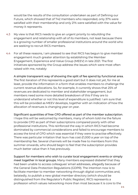would be the results of the consultation undertaken as part of Defining our Future, which showed that of 742 members who responded, only 37% were satisfied with their membership and only 21% were satisfied with the value for money it represents.

- My view is that RICS needs to give an urgent priority to rebuilding the engagement and relationship with all of its members, not least because there is a growing number of smaller professional institutions around the world who are seeking to recruit RICS members. 4.3
- For all these reasons, I am pleased to see that RICS has begun to give member engagement much greater attention by establishing the Member Engagement, Experience and Value Group (MEEV) in late 2021. The first initiatives sponsored by the Group address the issues which were most often raised with me, notably: 4.4

A simple transparent way of showing the split of fee spend by functional area. The first iteration of this represents a good start but it does not yet, for me at least, provide the information in a form that enables members to challenge the current revenue allocations. So, for example, it currently shows that 25% of revenues are dedicated to member and stakeholder engagement, but members need some more detailed breakdown of this if they are to understand whether or not this level of expenditure is justified. I am sure that this will be provided as MEEV develops, together with an indication of how the allocation of revenues is changing year on year.

Significant quantities of free CPD offered as part of the member subscription. I hope this will be welcomed by members, many of whom told me the failure to provide CPD as part of their subscriptions compared poorly with other professional institutions. This reinforced the way in which RICS had become dominated by commercial considerations and failed to encourage members to access the kind of CPD which was essential if they were to practise effectively. There was particular irritation that Isurv has cost £1,000 a year on top of the membership fee. Several channels will be made free to members from this summer onwards, who should begin to feel that the subscription provides much better value than it has previously.

Support for members who wish to curate local engagement events or simply meet together in local groups. Many members expressed disbelief that they had been unable to access colleagues' email addresses, allegedly because of the General Data Protection Regulations (GDPR). The intention now is to facilitate member to member networking through digital communities and, belatedly, to publish a new global member directory (which should be distinguished from the Regulator's Public Register). RICS represents a profession which values networking more than most because it is core to the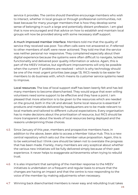service it provides. The centre should therefore encourage members who wish to interact, whether in local groups or through professional communities, not least because for many younger members that is how they develop some sense of belonging in such a large and potentially distant profession. I am glad that is now encouraged and that advice on how to establish and maintain local groups will now be provided along with some necessary staff support.

A much improved member interface. Members told me that the quality of service they received was poor. Too often calls were not answered or, if referred to other members of staff, were never actioned. They told me that the service was neither personal nor responsive. They complained especially about their digital experience because the systems were often difficult to navigate, lacked functionality and delivered poor quality information or advice. Again, this is part of the MEEV initiative, but significant improvements will only be possible when the current IT problems are resolved – which is why technology should be one of the most urgent priorities (see page 13). RICS needs to be easier for members to do business with, which means its customer service systems need to improve.

Local resources. The loss of local support staff has been keenly felt and has led many members to become disenchanted. They would argue that even willing volunteers need some support to be effective and they have a point. I am pleased that more attention is to be given to the resources which are needed on the ground, both in the UK and abroad. Some local resource is essential if products and materials delivered by headquarters are to be made relevant to local markets and tailored to different cultural expectations. Every organisation has to make decisions about the prioritisation of resource, but RICS should be more transparent about the levels of local resources being deployed and the reasons underpinning those choices.

- Since January of this year, members and prospective members have, in addition to the above, been able to access a Member Value Hub. This is a new central repository which sets out the member value proposition. Again, this is to be welcomed but I think care should be taken not to overstate the progress that has been made. Frankly, many members are very sceptical about whether the various new initiatives will be fully delivered simply because of their past experience. It never helps to exaggerate achievements when trying to rebuild trust. 4.5
- It is also important that sampling of the member response to the MEEV initiatives is undertaken on a frequent and regular basis to ensure that the changes are having an impact and that the centre is now responding to the voice of the member by making adjustments when necessary. 4.6
- Winning back disenchanted members is never easy and rebuilding trust takes 4.7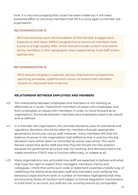time. It is very encouraging that a start has been made but it will need sustained effort to convince members that RICS is once again a member-led organisation.

#### RECOMMENDATION 15

RICS should build upon the foundation of the Member Engagement, Experience and Value (MEEV) programme to ensure all members have access to a high quality offer, which should include content and events led by members in their geographic area, supported by local staff where appropriate.

#### RECOMMENDATION 16

RICS should instigate a customer service improvement programme, spanning processes, systems and culture, to ensure that members receive an improved level of service.

#### **RELATIONSHIP BETWEEN EMPLOYEES AND MEMBERS**

- The relationship between employees and members is not working as effectively as it could. I heard from members of issues with employees, and from employees on issues with members. In order to move forward as an organisation, the bonds between members and employees need to be rebuilt and re-defined. 4.8
- In a member-led organisation, the ultimate decisions, save for standards and regulatory decisions, should be taken by members through appropriate governance structures, not by staff. However, many members felt that the balance of power in the organisation had shifted so that in practice the big decisions were either taken or controlled by senior executives. The Levitt Review noted that senior staff said that they felt forced into this position because the governance structure was not working, and decisions had to be made somehow if RICS was to function effectively, or indeed at all. 4.9
- Many organisations now articulate how staff are expected to behave and what they have the right to expect from managers, members, clients and colleagues. I think that some such code or statement could be a helpful way of redefining the relationship between staff and members, and clarifying the behaviour expected from both. A number of members highlighted that they are bound by Rules of Conduct and subject to formal Regulation mechanisms to hold them to account, but staff are not currently bound by comparable 4.10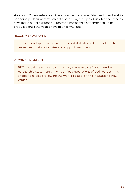standards. Others referenced the existence of a former "staff and membership partnership" document which both parties signed up to, but which seemed to have faded out of existence. A renewed partnership statement could be produced once the values have been formulated.

#### RECOMMENDATION 17

The relationship between members and staff should be re-defined to make clear that staff advise and support members.

#### RECOMMENDATION 18

RICS should draw up, and consult on, a renewed staff and member partnership statement which clarifies expectations of both parties. This should take place following the work to establish the Institution's new values.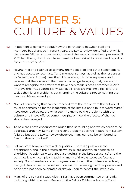## CHAPTER 5: CULTURE & VALUES

- In addition to concerns about how the partnership between staff and members has changed in recent years, the Levitt review identified that while there were failures in governance, many of these could have been prevented if RICS had the right culture. I have therefore been asked to review and report on the culture of the RICS. 5.1
- Having met and listened to so many members, staff and other stakeholders, and had access to recent staff and member surveys (as well as the responses to Defining our Future) I feel that I know enough to offer my views, and I believe that there is much that needs to change. In saying that, however, I want to recognise the efforts that have been made since September 2021 to improve the RICS culture. Many staff at all levels are making a real effort to tackle the historic problems but changing the culture is not something that can be achieved overnight. 5.2
- Nor is it something that can be imposed from the top or from the outside. It must be something for the leadership of the Institution to take forward. What I have described below are what seem to me to be the problems with the culture, and I have offered some thoughts on how the process of change should be managed. 5.3
- To be clear, I have encountered much that is troubling and which needs to be addressed urgently. Some of the recent problems derived in part from system failures, but as the Levitt Review observed, many can also be attributed to flaws in the culture itself. 5.4
- Let me start, however, with a clear positive. There is a passion in the organisation, and in the profession, which is rare, and which needs to be cherished. People really care about surveying (in the broadest sense) and the part they know it can play in tackling many of the big issues we face as a society. Both members and employees take pride in the profession. Indeed, many of the criticisms I have heard derive from a feeling that this passion and pride have not been celebrated or drawn upon to benefit the Institution. 5.5
- Many of the cultural issues within RICS have been commented on already, including within the Levitt Review. In the Call for Evidence, both staff and 5.6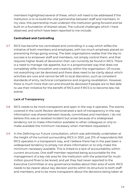members highlighted several of these, which will need to be addressed if the Institution is to re-build the vital partnership between staff and members. In my view, this partnership must underpin the Institution going forward and be built on a foundation of shared values. The cultural challenges which I have observed, and which have been reported to me include:

#### **Centralised and Controlling**

RICS has become too centralised and controlling in a way which stifles the initiative of both members and employees, with too much emphasis placed on preventing things going wrong. The best organisations realise that the key to success is to empower staff and members, not simply control them, and that requires higher levels of devolution than can currently be found in RICS. There is a need to manage risk appetite, but in a proportionate way that does not completely stifle innovation and creativity within the organisation. Of course, not everything can be devolved and there does need to be clarity about which activities are core and cannot be left to local discretion, such as consistent standards of entry, technical competence and ongoing revalidation. However, there is much more that can and should be devolved if people are to feel able to use their initiative for the benefit of RICS and if RICS is to become less risk averse. 5.7

#### **Lack of Transparency**

- RICS needs to be more transparent and open in the way it operates. The events covered in the Levitt Review demonstrated a lack of transparency in the way information was shared between boards, committees and members. I do not believe this was an isolated incident but arose because of a widespread tendency not to make information available to other colleagues or only to make available the minimum necessary when members requested it. 5.8
- In the Defining our Future consultation, which was admittedly undertaken at the height of the turmoil surrounding RICS in 2021, just 21% of respondents felt RICS operates in a transparent way, and I believe there has in the past been a widespread tendency to simply not share information or to only make the minimum necessary available. This is linked to a lack of accountability within current structures. One staff member reported being accountable for the management of a key risk area for the Institution with the potential for multimillion pound fines to be levied, and yet they had never reported to the Executive Committee or any governance bodies about their area of work. RICS needs to be clearer about key decision points within its structure to both staff and members, and to be more transparent about the decisions being taken at 5.9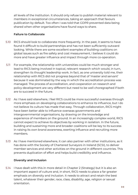all levels of the Institution. It should only refuse to publish material relevant to members in exceptional circumstances, taking an approach that favours publication by default. Too often I was told that GDPR prevented data being shared when other organisations have found ways to share.

#### **Failure to Collaborate**

- RICS should look to collaborate more frequently. In the past, it seems to have found it difficult to build partnerships and has not been sufficiently outward looking. While there are some excellent examples of building coalitions on global issues such as fire safety and cost measurement, I believe it could do more and have greater influence and impact through more co-operation. 5.10
- For example, the relationship with universities could be much stronger and lead to RICS being involved in topical, relevant research which would, in turn, strengthen its thought leadership work. In fact, as one university told me, their relationship with RICS did not progress beyond that of 'master and servant' because it was dominated by the way in which the accreditation process was managed. The process of accreditation, and cooperation on research and policy development are very different but need to be well choregraphed if both are to succeed in the future. 5.11
- As I have said elsewhere, I feel RICS could be more successful overseas through 5.12 more emphasis on developing collaborations to enhance its influence, but I do not believe its culture has made that easy. Through collaboration, RICS might have been better able to influence overseas governments and intergovernmental organisations, by drawing on the knowledge and experience of members on the ground. In an increasingly complex world, RICS cannot expect to achieve its objectives by working in isolation. In the future, building and sustaining more and broader coalitions will be key to its success in raising its own brand awareness, exerting influence and recruiting more members.
- As I have mentioned elsewhere, it can also partner with other institutions, as it 5.13 has done with the Society of Chartered Surveyors in Ireland (SCSI), to deliver member services and other activities on the ground in different countries. This prevents duplication of effort and helps build credibility and influence.

#### **Diversity and Inclusion**

I have dealt with this in more detail in Chapter 2 (Strategy) but it is also an important aspect of culture and, in short, RICS needs to place a far greater emphasis on diversity and inclusion. It needs to attract and retain the best talent, whatever their gender, race, class, disability, age, religion or sexual orientation. 5.14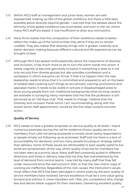- Within RICS staff at management and junior level, women are well represented, making up 55% of the global workforce, but there is little data available about diversity beyond gender. I was told that the dataset about the ethnicity of the global workforce was incomplete, and even in the UK, where many RICS staff are based, it was insufficient to draw any conclusions. 5.15
- Many firms realise that the composition of their workforce needs to better reflect the make-up of the communities they serve if they are to remain credible. They also realise that diversity brings with it greater creativity and better decision making because different cultural and life experiences can be brought to bear. 5.16
- Although RICS has spoken enthusiastically about the importance of diversity and inclusion, it has much more to do to turn the warm words into action. It needs urgently to become genuinely inclusive in everything it does so it not only recruits from diverse groups but also provides a profession and a workplace in which everyone can thrive. If that is to happen then the new leadership needs to show that it is committed and prepared to act on the basis of reliable data covering such things as recruitment, training, promotions and appraisal marks. It needs to be visible in schools in disadvantaged areas to show young people from non-traditional backgrounds what exciting careers are available in surveying. Many members told me that the profession is still perceived as an 'old boys club'. That needs to change. I believe that the Diversity and Inclusion Panel which I am recommending, along with the recent senior staff appointment, would be the first steps toward concrete action. 5.17

#### **Quality of Service**

RICS needs to have a greater emphasis on service quality at all levels. I heard numerous examples during the call for evidence of poor quality service to members, from calls not being answered to emails never being responded to or people simply not following up as promised. Staff told me there is a lack of accountability for decisions, and too many people focusing on strategy rather than delivery. Some of these issues are attributable to poor quality systems but some are symptomatic of the way which quality of service for members has not been seen as a priority issue. Many staff feel constantly pulled in different directions and those in delivery roles told me they feel overwhelmed by the level of demand from central teams. I was told by many staff that they felt under resourced since the restructure in 2021, or that the new matrix ways of working are ineffective. Regardless of the root causes, the Institution's values must reflect that RICS has been damaged in recent years by the poor quality of service members have received. Service excellence must be a core value going forward and without it, more members will, I fear, join competitors who charge less and deliver better support for their members. Delivering excellent quality 5.18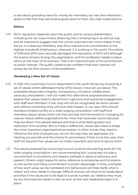is also about providing value for money for members, but very few members I spoke to felt that they did receive good value for their very high subscriptions.

#### **Ethical**

RICS' reputation depends upon the public and its various stakeholders, including the UK Government, believing that it is behaving in an ethical way and all indications suggest that this will be watched even more closely in the future. It is essential, therefore, that RICS maintains its commitment to the highest standards of behaviour, wherever it is working in the world. The events of 2018 and 2019 have naturally damaged the reputation of RICS and although the brand remains strong, the organisation and the profession needs to place ethics at the heart of its recovery. That is an important part of its commitment to public interest. The public needs to be confident that their interest will always be the first concern of the profession. 5.19

#### **Developing a New Set of Values**

- 5.20 In 2021, the Governing Council responded to the Levitt Review by proposing a set of values which addressed many of the issues I have set out above. The proposed values were integrity, transparency, inclusion, collaboration, advocacy and passion. I will not make firm alternative proposals because I believe that values need to derive from a genuine and sustained engagement with staff and members. If not, they will not be recognised, let alone owned, and without ownership they will have little impact. In my view, RICS should therefore embark swiftly on a wide ranging consultation with staff and members about values which will then provide the framework for changing its culture. Values define organisations far more than business visions because they are about how people behave and that is what distinguishes one institution from another. But to make a difference, values also need to shape the most important organisational processes. In other words, they need to influence the kind of people you recruit, the way they are appraised, the training you provide and the criteria for promotions. If that is not the case, then staff will assume that values are not really important and tend to ignore them.
- The values proposed by Governing Council could be the starting point for the wide ranging consultation I am recommending but I would also include a commitment to excellence and respect, perhaps in place of advocacy and passion. Others might argue for some reference to enterprise and innovation as well as the overriding commitment to public advantage. In time, examples of how each value can be translated into behaviours will help clarify what is meant and what needs to change. Difficult choices will have to be made about priorities if the values are to be kept to a small number, as I believe they must be, but this exercise needs to start as soon as the new leadership team is in place. 5.21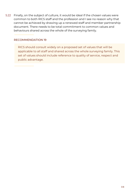Finally, on the subject of culture, it would be ideal if the chosen values were 5.22common to both RICS staff and the profession and I see no reason why that cannot be achieved by drawing up a renewed staff and member partnership document. There needs to be total commitment to common values and behaviours shared across the whole of the surveying family.

#### RECOMMENDATION 19

RICS should consult widely on a proposed set of values that will be applicable to all staff and shared across the whole surveying family. This set of values should include reference to quality of service, respect and public advantage.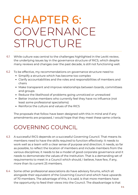## CHAPTER 6: GOVERNANCE STRUCTURE

- While culture was central to the challenges highlighted in the Levitt review, the underlying issues lay in the governance structure of RICS, which despite many reviews and changes over the past decade, is still not functioning well. 6.1
- To be effective, my recommendations on governance structure need to: 6.2
	- Simplify a structure which has become too complex
	- Clarify accountabilities and the roles and responsibilities of members and chairs
	- Make transparent and improve relationships between boards, committees and groups
	- Reduce the likelihood of problems going unnoticed or unresolved
	- Better involve members who currently feel they have no influence (not least some professional specialisms)
	- Reinforce the culture and values of the RICS

The proposals that follow have been designed with this in mind and if any amendments are proposed, I would hope that they meet these same criteria.

### GOVERNING COUNCIL

- A successful RICS depends on a successful Governing Council. That means its members need to have the skills required to function effectively: It needs to work well as a team with a clear sense of purpose and direction; it needs, so far as possible, to reflect the location of members and include members from the various disciplines; it needs to be a model of good corporate governance and it needs to demonstrate the values of the Institution. That is a demanding set of requirements to meet in a Council which should, I believe, have few, if any, more than its current 25 members. 6.3
- Some other professional associations do have advisory forums, which sit alongside their equivalent of the Governing Council and which have upwards of 70 members. The advantage of this, it is said, is that more members have the opportunity to feed their views into the Council. The disadvantage is that 6.4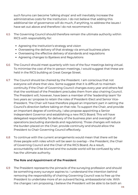such forums can become 'talking shops' and will inevitably increase the administrative costs for the Institution. I do not believe that adding this additional tier of governance will do much, if anything, to address the issues I have set out above and therefore I do not recommend it.

- The Governing Council should therefore remain the ultimate authority within RICS with responsibility for: 6.5
	- Agreeing the Institution's strategy and vision
	- Overseeing the delivery of that strategy via annual business plans
	- Overseeing the effective delivery of standards and regulations
	- Agreeing changes to Byelaws and Regulations
- The Council should meet quarterly with two of the four meetings being virtual. To minimise the cost of the in-person meetings, I would suggest that these are held in the RICS building at Great George Street. 6.6
- The Council should be chaired by the President. I am conscious that not everyone will share that view. Some suggest that it is difficult to maintain continuity if the Chair of Governing Council changes every year and others feel that the workload of the President precludes them from also chairing Council. The President will, however, have been a member of the 'leadership team' for two years as I propose to retain the roles of President-Elect and Senior Vice-President. The Chair will have therefore played an important part in setting the Council's direction before taking on that role. To support the Chair, and provide an important degree of continuity, I also propose appointing a Senior Independent Governor and establishing a new RICS Board. This will have delegated responsibility for delivery of the business plan and oversight of operations (excluding standards and regulations). Those changes will reduce the burden placed on the Chair, provide continuity and should allow the President to Chair Governing Council effectively. 6.7
- To continue with the current arrangements would mean that there will be three people with roles which will be seen to overlap – the President, the Chair of Governing Council and the Chair of the RICS Board. As a result, accountability will be blurred and the outside world will be confused by who has the ultimate authority. 6.8

#### **The Role and Appointment of the President**

The President represents the pinnacle of the surveying profession and should be something every surveyor aspires to. I understand the intention behind removing the responsibility of chairing Governing Council was to free up the President to undertake more of an outward facing, ambassadorial role. With the changes I am proposing, I believe the President will be able to be both an 6.9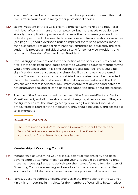effective Chair and an ambassador for the whole profession. Indeed, this dual role is often carried out in many other professional bodies.

- Being President of the RICS is clearly a time consuming role and requires a high level of commitment and competence, but more needs to be done to simplify the application process and increase the transparency around this critical appointment. I believe the Nominations and Remuneration Committee (see page 50) should oversee a much simplified shortlisting process, rather than a separate Presidential Nominations Committee as is currently the case. Under this process, an individual would stand for Senior Vice-President, and progress to President-Elect and then President. 6.10
- I would suggest two options for the selection of the Senior Vice-President. The first is that shortlisted candidates present to Governing Council members, who would then take a vote. This is the current process but I believe it could be significantly more transparent and simplified if this is to be the preferred option. The second option is that shortlisted candidates would be presented to the whole membership, who would then take a vote – perhaps at the AGM. Whichever process is selected, RICS must ensure that diverse candidates are not disadvantaged, and all candidates are supported throughout the process. 6.11
- The role of the President is tied to the role of the President-Elect and Senior 6.12 Vice-President, and all three should work closely together as a team. They are the figureheads for the strategy set by Governing Council and should be empowered to represent the Institution. They should be visible, and accessible, to all members.

#### RECOMMENDATION 20

The Nominations and Remuneration Committee should oversee the Senior Vice-President selection process and the Presidential Nominations Committee should be dissolved.

#### **Membership of Governing Council**

- Membership of Governing Council is a substantial responsibility and goes beyond simply attending meetings and voting. It should be something that more members aspire to and actively put themselves forward for. Members of Governing Council are leading ambassadors for the profession around the world and should also be visible leaders in their professional communities. 6.13
- $6.14$  I am suggesting some significant changes in the membership of the Council. Firstly, it is important, in my view, for the members of Council to better reflect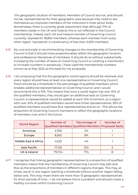the geographic location of members. Members of Council are not, and should not be, representatives for their geographic area because they need to see themselves as corporate members of the Institution's most senior body. Nonetheless, there is currently great resentment that although 71% of members reside in the UK and Ireland, this is not reflected in the Council membership. Indeed, each UK and Ireland member of Governing Council currently 'represents' 18,850 members, whereas each member from every other region 'represents' a constituency of less than 3,000 members.

- My core principle in recommending changes to the membership of Governing Council is that it should more proportionately reflect the geographic location and professional disciplines of members. It should do so without substantially increasing the number of seats on Governing Council or creating a mechanism to increase numbers in perpetuity. I have used the membership numbers correct as at May 2022 as the basis for my proposals. 6.15
- 6.16 I am proposing that the five geographic world regions should be retained, and every region should have at least one representative on Governing Council. There should be a threshold in the percentage of qualified members which enables additional representatives on Governing Council, and I would recommend this is 10%. This means that once a world region has over 10% of the qualified members, they would gain an additional seat on Governing Council. A representative would be added at each 10% increment, so a region with over 20% of qualified members would have three representatives, 30% of qualified members would have four representatives and so on. This allows the proportion of Governing Council members to reflect the geographic locations of members now and in the future.

| <b>World Region</b>             | Number of | Percentage of<br>Qualified Members Qualified Members Proposed Seats | Number of |
|---------------------------------|-----------|---------------------------------------------------------------------|-----------|
| Americas                        | 2,760     | 2%                                                                  |           |
| Europe                          | 8,562     | 8%                                                                  |           |
| <b>Middle East &amp; Africa</b> | 4,623     | 4%                                                                  |           |
| <b>Asia Pacific</b>             | 17,155    | 15%                                                                 |           |
| UK & Ireland                    | 79,724    | 71%                                                                 | 8         |

I recognise that linking geographic representatives to a proportion of qualified members means that the membership of Governing Council may ebb and flow as the proportions of members in different regions changes. This may, at times, result in one region reaching a threshold without another region falling below one. This may mean there are more than 13 geographic representatives for short periods of time – I do not believe this is a problem and should create a healthy turnover within Governing Council. 6.17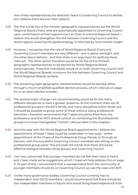How these representatives are selected I leave to Governing Council to decide, but I believe there are two main options.

- The first is that five of the thirteen geographic representatives are the World 6.18 Regional Board Chairs, who are automatically appointed to Governing Council upon confirmation of their appointment as Chair of a World Regional Board. I believe this would strengthen the link between Governing Council and the world regions, ensuring the global strategy is informed by local market insight.
- 6.19 However, I recognise that the role of World Regional Board Chairs and Governing Council members are very different – one is about oversight, and the other about delivery - and that there is an argument for splitting these roles out. The other option therefore would be for five of the thirteen geographic representatives to be elected by World Regional Board constituencies. Those five individuals would sit on both Governing Council and the World Regional Boards, to ensure the link between Governing Council and World Regional Boards remains.
- The remaining eight geographic representatives would be elected, either 6.20 through a much simplified qualified election process, which I discuss on page 54, or an open election process.
- The second major change I am recommending would be for the many 6.21 different disciplines to have a greater presence. At the moment there are 18 professional groups in the RICS family, and many disciplines within those, but it should be possible to group some of these without losing professional identities. I therefore recommend that 7 seats should be filled from the professions, and that RICS should consult on combining the 18 professional groups to a more manageable 7 (which I discuss later in this chapter).
- As is the case with the World Regional Board appointments, I believe the 6.22 appointment of these 7 seats could be undertaken in two ways – either appointment of the Chairs of the Professional Group Panels, or through an election, with the successful Governing Council members also sitting on the professional group panel. The principle still stands that there should be effective dialogue between those groups and Governing Council.
- 6.23 I am very concerned that younger members do not feel their voice is heard and I have made some suggestions which I hope will help address this on page 11. As part of this, I recommend that a representative from the community of younger members should sit on Governing Council, as was the case until 2017.
- Unlike many governance bodies, Governing Council currently has no 6.24independent (non-RICS) members. I would recommend that there should be two independent members in future who would bring board experience from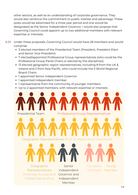other sectors, as well as an understanding of corporate governance. They would also reinforce the commitment to public interest and advantage. These posts would be advertised for a three year period and one would be designated as the Senior Independent Governor. I would also propose that Governing Council could appoint up to two additional members with relevant expertise or interests.

- Under these proposals, Governing Council would have 28 members and would comprise: 6.25
	- 3 elected members of the Presidential Team (President, President-Elect and Senior Vice-President)
	- 7 elected/appointed Professional Group representatives (who could be the Professional Group Panel Chairs or elected by the disciplines)
	- 13 elected geographic region representatives, including 8 from the UK & Ireland and 2 from Asia Pacific, who could include the 5 World Regional Board Chairs
	- 1 appointed Senior Independent Governor
	- 1 appointed independent member
	- 1 representative from the community of younger members
	- Up to 2 appointed members, with relevant expertise or interests

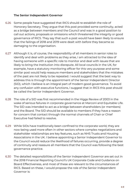#### **The Senior Independent Governor**

- 6.26 Some people have suggested that RICS should re-establish the role of Honorary Secretary. They argue that this post provided some continuity, acted as a bridge between members and the Council and was in a good position to call out actions, proposals or omissions which threatened the integrity or good governance of RICS. They say that such a post would have been likely to ensure that the failings of 2018 and 2019 were dealt with before they became so damaging to the organisation.
- Although it is, of course, the responsibility of all members in senior roles to 6.27 identify and deal with problems as they arise, I am attracted to the idea of having someone with a specific role to monitor and deal with issues that are likely to bring the Institution into disrepute. All local councils in the UK, for example, have a statutory monitoring officer for this very purpose and some similar post would help reassure members and stakeholders that the mistakes of the past are not likely to be repeated. I would suggest that the best way to address this is through the appointment of the Senior Independent Director (SID), which I believe is an integral part of modern good governance. To avoid any confusion with executive functions, I suggest that in RICS this post should be called the Senior Independent Governor.
- The role of a SID was first recommended in the Higgs Review of 2003 in the 6.28 wake of serious failures in corporate governance at Marconi and Equitable Life. The SID was intended to act as a bridge between shareholders (or members) and the Board. The SID should be available to members if they have a reason for concern that contact through the normal channels of Chair or Chief Executive had failed to resolve.
- While SIDs have traditionally been confined to the corporate world, they are 6.29 now being used more often in other sectors where complex negotiations and stakeholder relationships are key features, such as NHS Trusts and Housing Associations in the UK. I believe appointing a Senior Independent Governor to the Council would reduce the likelihood of failures occurring, provide a degree of continuity and reassure all members that the Council was following the best governance practice.
- The detailed responsibilities of the Senior Independent Governor are set out in 6.30the 2018 Financial Reporting Council's UK Corporate Code and Guidance on Board Effectiveness, and most of these are relevant to the circumstances of RICS. Based on these, I would propose the role of the Senior Independent Governor is: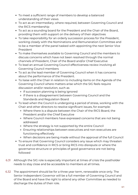- To meet a sufficient range of members to develop a balanced understanding of their views
- To act as an intermediary, where required, between Governing Council and the RICS membership
- To act as a sounding board for the President and the Chair of the Board, providing them with support on the delivery of their objectives
- To take responsibility for an orderly succession process for the President, working closely with the Nominations and Remuneration Committee and to be a member of the panel tasked with appointing the next Senior Vice President
- To make themselves available to Governing Council and the members to discuss concerns which have not been resolved through the normal channels of President, Chair of the Board and/or Chief Executive
- To lead an annual Governing Council effectiveness review involving all Governing Council members
- To act as the lead member of Governing Council when it has concerns about the performance of the President.
- To liaise with the Chair in relation to including items on the Agenda of the Governing Council where matters arise which the SIG feels require discussion and/or resolution, such as
	- o If succession planning is being ignored
	- o If there is a disagreement between Governing Council and the Standards and Regulation Board
- To lead when the Council is undergoing a period of stress, working with the Chair and other directors to resolve significant issues, for example:
	- Where there is a dispute between the Chair of the RICS Board, the President and/or the Chief Executive
	- Where Council members have expressed concerns that are not being addressed
	- Where the strategy is not supported by the entire Council
	- Ensuring relationships between executives and non-executives are functioning effectively
	- When decisions are being made without the approval of the full Council
- To ensure that Governing Council considers any issue which may threaten trust and confidence in RICS or bring RICS into disrepute or where the governance structure or principles of good governance are not being followed
- Although the SIG role is especially important at times of crisis the postholder 6.31 needs to stay close and be accessible to members at all times.
- 6.32 The appointment should be for a three year term, renewable once only. The Senior Independent Governor will be a full member of Governing Council and of the Board and have the right to attend any other Committee as needed to discharge the duties of their role.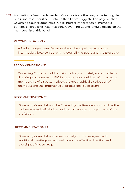Appointing a Senior Independent Governor is another way of protecting the 6.33public interest. To further reinforce that, I have suggested on page 20 that Governing Council appoints a Public Interest Panel of senior members, perhaps chaired by a Past President. Governing Council should decide on the membership of this panel.

#### RECOMMENDATION 21

A Senior Independent Governor should be appointed to act as an intermediary between Governing Council, the Board and the Executive.

#### RECOMMENDATION 22

Governing Council should remain the body ultimately accountable for directing and overseeing RICS' strategy, but should be reformed so its membership of 28 better reflects the geographical distribution of members and the importance of professional specialisms

#### RECOMMENDATION 23

Governing Council should be Chaired by the President, who will be the highest elected officeholder and should represent the pinnacle of the profession.

#### RECOMMENDATION 24

Governing Council should meet formally four times a year, with additional meetings as required to ensure effective direction and oversight of the strategy.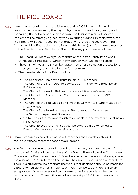## THE RICS BOARD

- 6.34 I am recommending the establishment of the RICS Board which will be responsible for overseeing the day to day operations and for agreeing and managing the delivery of a business plan. The business plan will seek to implement the strategy agreed by the Governing Council. In many ways, the RICS Board will become the Institution's driving force and the Governing Council will, in effect, delegate delivery to this Board (save for matters reserved for the Standards and Regulation Board). The key points are as follows:
	- The Board will meet every two months or more frequently if the Chair thinks that is necessary (which in my opinion may well be the case)
	- The Chair will be a RICS Member appointed after a selection process for a three year term, renewable for one further term
	- The membership of the Board will be:
		- The appointed Chair (who must be an RICS Member)
		- The Chair of the Membership Services Committee (who must be an RICS Member)
		- The Chair of the Audit, Risk, Assurance and Finance Committee
		- The Chair of the Commercial Committee (who must be an RICS Member)
		- The Chair of the Knowledge and Practice Committee (who must be an RICS Member)
		- The Chair of the Nominations and Remuneration Committee
		- The Senior Independent Governor
		- Up to 2 co-opted members with relevant skills, one of whom must be an RICS Member
		- The Chief Executive, who I suggest below should be renamed to Director-General or another similar title
- 6.35 I have prepared detailed Terms of Reference for the Board which will be available if these recommendations are agreed.
- The five main Committees will report into the Board, as shown below in figure 6.36A, and their Chairs will be members of the Board. Three of the five Committee Chairs on the Board must be RICS Members because there should always be a majority of RICS Members on the Board. The quorum should be five members. There is a strong feeling amongst members that decisions should be made by a Board which always has a majority of RICS members, but there is also an acceptance of the value added by non-executive independents, hence my recommendations. There will always be a majority of RICS members on the Board.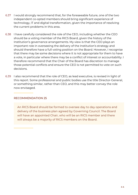- 6.37 I would strongly recommend that, for the foreseeable future, one of the two independent co-opted members should bring significant experience of technology, IT and digital transformation, given the importance of resolving the current problems in this area.
- 6.38 I have carefully considered the role of the CEO, including whether the CEO should be a voting member of the RICS Board, given the history of the Institution's governance arrangements. My view is that the CEO plays an important role in overseeing the delivery of the Institution's strategy and should therefore have a full voting position on the Board. However, I recognise that there may be some decisions where it is not appropriate for them to have a vote, in particular where there may be a conflict of interest or accountability. I therefore recommend that the Chair of the Board has discretion to manage those potential conflicts and ensure the CEO is not permitted to vote on such decisions.
- 6.39 I also recommend that the role of CEO, as lead executive, is revised in light of this report. Some professional and public bodies use the title Director-General, or something similar, rather than CEO, and this may better convey the role now envisaged.

#### RECOMMENDATION 25

An RICS Board should be formed to oversee day to day operations and delivery of the business plan agreed by Governing Council. The Board will have an appointed Chair, who will be an RICS member and there will always be a majority of RICS members on the Board.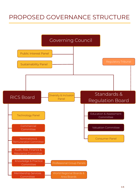## PROPOSED GOVERNANCE STRUCTURE

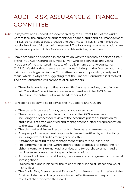## AUDIT, RISK, ASSURANCE & FINANCE **COMMITTEE**

- 6.40 In my view, and I know it is a view shared by the current Chair of the Audit Committee, the current arrangements for finance, audit and risk management in RICS do not reflect best practice and they must if RICS is to minimise the possibility of past failures being repeated. The following recommendations are therefore important if this Review is to achieve its key objectives.
- I have prepared this section in consultation with the recently appointed Chair of the RICS Audit Committee, Mike Driver, who also serves as this year's President of the Chartered Institute of Public Finance and Accountancy (CIPFA). We think that there are advantages in bringing the finance, audit and risk functions together in one Committee, not least in providing clarity and focus, which is why I am suggesting that the Finance Committee is dissolved. The new Committee will comprise of six members: 6.41
	- Three independent (and finance qualified) non-executives, one of whom will Chair the Committee and serve as a member of the RICS Board
	- Three non-executives, who will be Members of RICS
- 6.42 Its responsibilities will be to advise the RICS Board and CEO on:
	- The strategic process for risk, control and governance
	- The accounting policies, the accounts and the RICS annual report, including the process for review of the accounts prior to submission for audit, levels of error identified and management's letter of representation to the external auditors
	- The planned activity and results of both internal and external audit
	- Adequacy of management response to issues identified by audit activity, including external audit's management letter
	- Assurances relating to the management of risk for the Institution
	- The performance of and (where appropriate) proposals for tendering for either Internal or External Audit services and for purchase of non-audit services from contractors for special investigations
	- Anti-fraud policies, whistleblowing processes and arrangements for special investigations
	- Succession plans in place for the roles of Chief Financial Officer and Chief Risk Officer
	- The Audit, Risk, Assurance and Finance Committee, at the discretion of the Chair, will also periodically review its own effectiveness and report the results of that review to the Board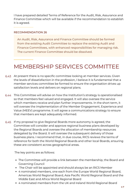I have prepared detailed Terms of Reference for the Audit, Risk, Assurance and Finance Committee which will be available if the recommendation to establish it is agreed.

#### RECOMMENDATION 26

An Audit, Risk, Assurance and Finance Committee should be formed from the existing Audit Committee to replace the existing Audit and Finance Committees, with enhanced responsibilities for managing risk. The current Finance Committee should be dissolved.

### MEMBERSHIP SERVICES COMMITTEE

- At present there is no specific committee looking at member services. Given 6.43 the levels of dissatisfaction in the profession, I believe it is fundamental that a member services committee be formed to ensure the organisation drives up satisfaction levels and delivers on regional plans.
- This Committee will advise on how the Institution's strategy is operationalised 6.44 so that members feel valued and engaged. It will also oversee the service which members receive and plan further improvements. In the short term, it will oversee the implementation of the Member Engagement, Experience and Value (MEEV) programme. It will agree a communications strategy to ensure that members are kept adequately informed.
- 6.45 If my proposal to give Regional Boards more autonomy is agreed, the Committee will consider and approve regional business plans developed by the Regional Boards and oversee the allocation of membership resources delegated by the Board. It will oversee the subsequent delivery of those business plans. I recommend that, in due course, RICS reviews the terms of reference for both the World Regional Boards and other local Boards, ensuring these are consistent across geographical areas.

The key points are as follows:

- The Committee will provide a link between the membership, the Board and Governing Council
- The Chair will be appointed and should always be an RICS Member
- 4 nominated members, one each from the Europe World Regional Board, Americas World Regional Board, Asia Pacific World Regional Board and the Middle East and Africa World Regional Board
- 4 nominated members from the UK and Ireland World Regional Board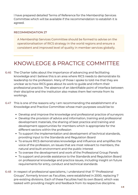I have prepared detailed Terms of Reference for the Membership Services Committee which will be available if the recommendation to establish it is agreed.

#### RECOMMENDATION 27

A Membership Services Committee should be formed to advise on the operationalisation of RICS strategy in the world regions and ensure a consistent and improved level of quality in member services globally.

### KNOWLEDGE & PRACTICE COMMITTEE

- The Charter talks about the importance of advancing and facilitating 6.46 knowledge and I believe this is an area where RICS needs to demonstrate its leadership to the profession. Many of those I spoke to told me that they are unclear as to how RICS goes about its work to guide and inform their professional practice. The absence of an identifiable point of interface between their discipline and the Institution also makes them feel remote from its workings.
- This is one of the reasons why I am recommending the establishment of a 6.47 Knowledge and Practice Committee whose main purposes would be to:
	- Develop and improve the knowledge and professional practice of surveyors
	- Develop the provision of advice and information, training and professional development materials, the sharing of best practice and training and development opportunities for members which is appropriate for the different sectors within the profession
	- To support the implementation and development of technical standards, providing input to the Standards and Regulation Board
	- To ensure RICS demonstrates knowledge and influence and amplifies the voice of the profession, on issues that are most relevant to members, the natural and built environment and the public interest
	- To oversee the development and work of the Professional Group Panels
	- To support and provide assistance to the Standards and Regulation Board on professional knowledge and practice issues, including insight on future requirements for entry, conduct and technical standards
- 6.48 In respect of professional specialisms, I understand that 17 "Professional Groups", formerly known as Faculties, were established in 2000, replacing 7 pre-existing divisions. Each of these Faculties had its own Board, which was tasked with providing insight and feedback from its respective discipline.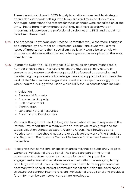These were stood down in 2020, largely to enable a more flexible, strategic approach to standards setting, with fewer silos and reduced duplication. Although I understand the reasons for these changes were consulted on at the time, I heard from many members that they felt these Boards were an important link between the professional disciplines and RICS and should not have been dismantled.

- The proposed Knowledge and Practice Committee would therefore, I suggest, 6.49 be supported by a number of Professional Group Panels who would refer issues of importance to their specialism. I believe 17 would be an unwieldy number and risks repeating the past where groups were duplicating the work of each other.
- 6.50 In order to avoid this, I suggest that RICS consults on a more manageable number of disciplines. This would reflect the multidisciplinary nature of surveying and ensure that the groups could be focused on advancing and maintaining the profession's knowledge base and support, but not mirror the work of the Standards and Regulation Board and its expert working groups when required. A suggested list on which RICS should consult could include:
	- Valuation
	- Residential Property
	- Commercial Property
	- Built Environment
	- Construction
	- Land and Natural Resources
	- Planning and Development

Particular thought will need to be given to valuation where in response to the Pereira Gray report there already exists an interim valuation group and the Global Valuation Standards Expert Working Group. The Knowledge and Practice Committee should not usurp or duplicate the work of the Standards and Regulation Board, as the Terms of Reference for the new Panels should make clear.

I recognise that some smaller specialist areas may not be sufficiently large to warrant a Professional Group Panel. The Panels are part of the formal governance structure but not a substitute for continuing member engagement across all specialisms represented within the surveying family, both large and small. I would therefore expect them to be supplemented as necessary with special interest communities that sit outside the governance structure but connect into the relevant Professional Group Panel and provide a forum for members to network and share knowledge. 6.51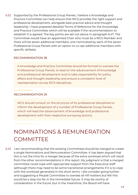6.52 Supported by the Professional Group Panels, I believe a Knowledge and l Practice Committee can help ensure that RICS provides the right support and professional development, alongside best practice advice and thought leadership. I have prepared detailed Terms of Reference for the Knowledge and Practice Committee which will be available if the recommendation to establish it is agreed. The key points are set out above in paragraph 6.47. The Committee would have an appointed Chair who must be a RICS Member and there will be seven additional members, one nominated by each of the seven Professional Group Panels with an option to co-opt additional members with specific skillsets.

#### RECOMMENDATION 28

A Knowledge and Practice Committee should be formed to oversee the Professional Group Panels, to lead on the advancement of knowledge and professional development and to take responsibility for policy affairs and thought leadership and ensure a consistent level of representation across RICS disciplines.

#### RECOMMENDATION 29

RICS should consult on the structure of its professional disciplines to inform the development of a number of Professional Group Panels, which will lead the advancement of knowledge and professional development with their respective surveying sectors.

### NOMINATIONS & REMUNERATION **COMMITTEE**

6.53 I am recommending that the existing Committees should be merged to create a single Nominations and Remuneration Committee. It has been argued that this is not the time for a merger because of the extra workload which will result from the other recommendations in this report. My judgment is that a merged committee could cope with appropriate support from the Executive staff (although there may need to be some transitional arrangements if it is to cope with the workload generated in the short term). I did consider going further and suggesting a People Committee to oversee all HR matters but felt this would be a step too far in the immediate future. It may be worthy of consideration in the future, but in the meantime, the Board will have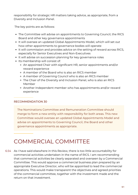responsibility for strategic HR matters taking advice, as appropriate, from a Diversity and Inclusion Panel.

The key points are as follows:

- The Committee will advise on appointments to Governing Council, the RICS Board and other key governance appointments
- It will oversee an updated Global Appointments Model, which will set out how other appointments to governance bodies will operate
- It will commission and provides advice on the setting of reward across RICS, especially for Senior Executives and Non-Executives
- It will advise on succession planning for key governance roles
- Its membership will consist of:
	- An appointed Chair with significant HR, senior appointments and/or reward experience
	- A member of the Board who is also an RICS member
	- A member of Governing Council who is also an RICS member
	- The Chair of the Diversity and Inclusion Panel, who is also an RICS Member
	- Another Independent member who has appointments and/or reward experience

#### RECOMMENDATION 30

The Nominations Committee and Remuneration Committee should merge to form a new entity with responsibility for both areas. This new Committee would oversee an updated Global Appointments Model and advise on appointments to Governing Council, the Board and other governance appointments as appropriate.

### COMMERCIAL COMMITTEE

As I have said elsewhere in this Review, there is too little accountability for 6.54commercial activities undertaken in the name of RICS. I am recommending that commercial activities be clearly separated and overseen by a Commercial Committee. This would approve a commercial business plan prepared by an appropriate Executive Director, who will be appointed to lead the commercial operations. This would make transparent the objectives and agreed priorities of the commercial committee, together with the investment made and the return on that investment.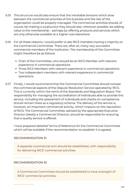- This structure would also ensure that the inevitable tensions which arise 6.55 between the commercial priorities of the business and the rest of the organisation could be properly managed. The commercial activities should, of course, be making a surplus but they should also, wherever possible, be adding value to the membership – perhaps by offering products and services which are only otherwise available at a higher cost elsewhere.
- For all these reasons, I would prefer to see RICS members having a majority on 6.56 the Commercial Committee. There are, after all, many very successful commercial members of the Institution. The membership of the Committee might therefore be as follows:
	- Chair of the Committee, who should be an RICS Member with relevant experience in commercial operations
	- Three RICS Members with relevant experience in commercial operations
	- Two independent members with relevant experience in commercial operations
- Finally, I would recommend that the Commercial Committee should oversee 6.57the commercial aspects of the Dispute Resolution Service operated by RICS. This is currently within the remit of the Standards and Regulation Board. The responsibility for managing the accreditation of individuals able to provide this service, including the assessment of individuals and checks on competence, should remain there as a regulatory scheme. The delivery of the service is, however, an important commercial activity, which impacts on the reputation of RICS. The Commercial Committee, advised by the appropriate Executive Director (ideally a Commercial Director), should be responsible for ensuring that a quality service is offered.

I have prepared detailed Terms of Reference for the Commercial Committee which will be available if the recommendation to establish it is agreed.

#### RECOMMENDATION 31

A separate commercial arm should be established, with responsibility for delivering RICS' commercial activities.

#### RECOMMENDATION 32

A Commercial Committee should be established to have oversight of RICS' commercial activities.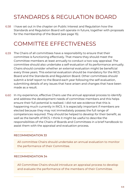### STANDARDS & REGULATION BOARD

6.58 I have set out in the chapter on Public Interest and Regulation how the Standards and Regulation Board will operate in future, together with proposals for the membership of the Board (see page 15).

### COMMITTEE EFFECTIVENESS

- The Chairs of all committees have a responsibility to ensure that their 6.59 committee is functioning effectively. That means they should meet the Committee members at least annually to conduct a two way appraisal. The committee should also undertake a self-evaluation of its performance annually. Chairs should consider whether an external evaluation might be beneficial every three years. This external evaluation should be mandatory for the RICS Board and the Standards and Regulation Board. Other committees should submit a brief report to the Board each year following the self-evaluation, submitting details of any issues that have arisen and changes that have been made as a result.
- 6.60 In my experience, effective Chairs use the annual appraisal process to identify and address the development needs of committee members and this helps ensure their full potential is realised. I did not see evidence that this is happening much currently in RICS. It is especially important if members are elected because they may not immediately possess the full range of competences required. They should be helped to develop for their benefit, as well as the benefit of RICS. I think it might be useful to describe the responsibilities of the Chairs of Boards and Committees in a brief handbook to assist them with the appraisal and evaluation process.

#### RECOMMENDATION 33

All committee Chairs should undertake an annual evaluation to monitor the performance of their Committee.

#### RECOMMENDATION 34

All Committee Chairs should introduce an appraisal process to develop and evaluate the performance of the members of their Committee.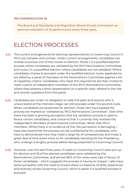#### RECOMMENDATION 35

The Board and Standards and Regulation Board should commission an external evaluation of its performance every three years.

### ELECTION PROCESSES

- The current arrangements for electing representatives to Governing Council in RICS are complex and unclear. Under current arrangements, candidates can choose to pursue one of two routes to election. Route 1 is a qualified election process where candidates are validated by the RICS Nominations Committee, and route 2 is unqualified election where candidates are not validated. Where candidates choose to proceed under the qualified election route, applications are sifted by a panel of members of the Nominations Committee against a list of capability criteria. Candidates who meet the required list are then invited to meet a panel of independent members of the RICS Nominations Committee, where they prepare a short presentation on a specific topic related to the role and answer questions from the panel. 6.61
- Candidates are under no obligation to take this path and anyone who is 6.62 unsuccessful at the interview stage can still proceed under the second route. When candidates are presented for election, those who have passed the process are marked as "validated by RICS Nominations Committee". Over time there has been a growing perception that the validation process is used to favour certain candidates, and concerns that it currently only involves the Independent Members of Nominations Committee, rather than RICS members. While there is no evidence of this, the perception is damaging. I have also heard that the process can be cumbersome for candidates, who have to demonstrate how they meet a large list of competencies and invest a great deal of time (even more so for candidates standing for the Presidency, who undergo a lengthy process before being presented to Governing Council).
- However, over the last three years, 21 seats on Governing Council were put up for election and 18 of the elected candidates were validated by the Nominations Committee, and almost 80% of the votes were cast in favour of those candidates – which suggests the process is having an impact. I also have some sympathy with the need to ensure there is a balance of skills, experience and diversity across Governing Council, which is easier if a qualified process is pursued. 6.63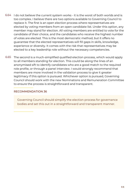- 6.64 I do not believe the current system works it is the worst of both worlds and is too complex. I believe there are two options available to Governing Council to replace it. The first is an open election process where representatives are elected by voting members from an open candidate list. Under this option, any member may stand for election. All voting members are entitled to vote for the candidate of their choice, and the candidates who receive the highest number of votes are elected. This is the most democratic method, but it offers no guarantee that the elected representatives will fill gaps in skills, knowledge, experience or diversity. It comes with the risk that representatives may be elected to a key leadership role without the necessary competencies.
- The second is a much-simplified qualified election process, which would apply 6.65to all members standing for election. This could be along the lines of an anonymised sift to identify candidates who are a good match to the required role profile, or through a panel interview. I would strongly recommend that members are more involved in the validation process to give it greater legitimacy if this option is pursued. Whichever option is pursued, Governing Council should work with the new Nominations and Remuneration Committee to ensure the process is straightforward and transparent.

#### RECOMMENDATION 36

Governing Council should simplify the election process for governance bodies and set this out in a straightforward and transparent manner.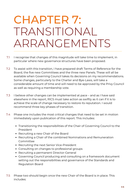## CHAPTER 7: TRANSITIONAL ARRANGEMENTS

- I recognise that changes of this magnitude will take time to implement, in particular where new governance structures have been proposed. 7.1
- To assist with this transition, I have prepared draft Terms of Reference for the Board, the five new Committees and the three new Panels. These will all be available when Governing Council takes its decisions on my recommendations. Some changes, particularly to the Charter and Bye-Laws, will take a considerable amount of time and will need to be approved by the Privy Council as well as requiring a membership vote. 7.2
- I believe other changes can be implemented at pace and as I have said elsewhere in the report, RICS must take action as swiftly as it can if it is to achieve the scale of change necessary to restore its reputation. I would recommend three key phases of transition. 7.3
- Phase one includes the most critical changes that need to be set in motion immediately upon publication of this report. This includes: 7.4
	- Transitioning the responsibilities of the Chair of Governing Council to the President
	- Recruiting a new Chair of the Board
	- Recruiting a Chair of the combined Nominations and Remuneration Committee
	- Recruiting the next Senior Vice-President
	- Consulting on changes to professional groups
	- Recruiting a permanent Director-General
	- Governing Council producing and consulting on a framework document setting out the responsibilities and governance of the Standards and Regulation Board
- Phase two should begin once the new Chair of the Board is in place. This includes: 7.5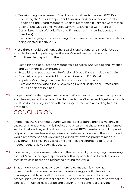- Transitioning Management Board responsibilities to the new RICS Board
- Recruiting the Senior Independent Governor and independent member
- Appointing the Board Members (Chair of Membership Services Committee, Chair of Knowledge and Practice Committee, Chair of Commercial Committee, Chair of Audit, Risk and Finance Committee, independent members)
- Elections for geographic Governing Council seats, with a view to candidates being elected in early 2023
- Phase three should begin once the Board is operational and should focus on establishing and populating the five key Committees, and then the Committees that report into them: 7.6
	- Establish and populate the Membership Services, Knowledge and Practice and Commercial Committees
	- Establish and populate new Professional Group Panels, including Chairs
	- Establish and populate Public Interest Panel and DEI Panel
	- Populate World Regional Boards and appoint new Chairs
	- Elections for new disciplinary Governing Council seats, once Professional Group Panels are in place
- I hope therefore that agreed recommendations can be implemented quickly and the only exceptions would be changes to the Charter and Bye-Laws, which must be done in conjunction with the Privy Council and according to their timetable. 7.7

## **CONCLUSION**

- I hope that the Governing Council will feel able to agree the vast majority of the recommendations in this Review and ensure that these are implemented swiftly. I believe they will find favour with most RICS members, who I hope will rally around a new leadership team and restore confidence in the Institution. I would recommend that Governing Council reviews the progress made in delivering this review in a year's time and I have recommended further independent reviews every five years. 7.8
- If delivered, the recommendations in this report will go a long way to ensuring that RICS can, once again, speak with authority of behalf of its profession so that its voice is heard and respected around the world. 7.9
- That unique voice has never been more relevant than it is now as 7.10governments, communities and economies struggle with the unique challenges that face us all. This is no time for the profession to remain preoccupied with its internal politics. It is the moment for RICS to show that it can lead, influence, collaborate and deliver for the benefit of everyone.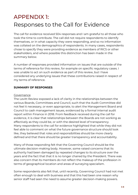## APPENDIX 1: Responses to the Call for Evidence

The call for evidence received 504 responses and I am grateful to all those who took the time to contribute. The call did not require respondents to identify themselves, or in what capacity they were responding, and so no information was collated on the demographics of respondents. In many cases, respondents chose to specify they were providing evidence as members of RICS or other stakeholders, and where possible this distinction has been made in the summary below.

A number of responses provided information on issues that are outside of the terms of reference for this review, for example on specific regulatory cases. I was unable to act on such evidence as part of this review, but I have considered any underlying issues that these contributions raised in respect of my terms of reference.

#### **SUMMARY OF RESPONSES**

#### **Governance**

The Levitt Review exposed a lack of clarity in the relationships between the various Boards, Committees and Council, such that the Audit Committee did not feel it necessary, or even appropriate, to alert the Management Board and Council to cash management issues, evidenced by a formal internal audit report within Finance in 2018. From feedback received during the call for evidence, it is clear that relationships between the Boards are not working as effectively as they could be, or with the desired level of transparency. Many respondents to the call for evidence highlighted that while they did not feel able to comment on what the future governance structure should look like, they believed that roles and responsibilities should be more clearly defined and that there should be greater transparency and accountability.

Many of those responding felt that the Governing Council should be the ultimate decision-making body. However, some raised concerns that its authority had been damaged by repeated changes to its structure over the years and the fact that that it is no longer chaired by the President. There was also concern that its members do not reflect the makeup of the profession in terms of geographical location and areas of surveying specialism.

Some respondents also felt that, until recently, Governing Council had not met often enough to deal with business and that this had been one reason why senior staff had seen the need to assume greater decision-making powers.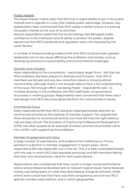#### Public Interest

The Royal Charter makes clear that RICS has a responsibility to act in the public interest and to operate in a way that creates public advantage. However, key stakeholders have commented that RICS needs to better ensure it is placing the public interest at the core of its activities.

Several respondents noted that the recent failings had damaged public confidence in the Institution and its ability to protect the public, despite assurances that RICS standards and regulation were not impacted by the Levitt Review.

A number of those providing evidence felt that RICS could provide a greater leadership role on key issues affecting the profession and society, such as developing solutions to sustainability and environmental challenges.

#### Diversity and Inclusion

Many responding to the consultation – particularly larger firms – felt that too little emphasis had been placed on diversity and inclusion. Only 19% of members are female and very few come from black or minority ethnic communities, although there is not enough data to have a full understanding of the issue. Not enough effort was being made – respondents said – to increase diversity in the profession, the RICS staff team, its governance structures or working groups. Respondents were concerned that there was a real danger that RICS becomes detached from the communities it serves.

#### Commercial Focus

Many respondents felt that RICS had given disproportionate attention to commercial activities at the expense of member support. Few argued that there should be no commercial activity, but most felt that the right balance had not been struck. The provision of Continuing Professional Development (CPD) was often quoted as an example of where commercial priorities came into conflict with supporting the profession.

#### Member Engagement and Value

A large number of submissions, and evidence from Defining our Future, pointed to a decline in member engagement in recent years, which respondents felt was especially true in the UK. This, it is said, contrasted sharply with the way in which RICS had operated previously and left members feeling that they now received poor value for their subscriptions.

Respondents also complained that they could no longer access authoritative advice and professional development on relevant topical issues. Some believed money was being spent on what they described as marginal activities, whilst others were concerned that there was little transparency around how RICS spends member subscriptions, and in which geographies.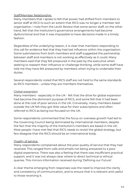#### Staff/Member Relationship

Many members that I spoke to felt that power had shifted from members to senior staff at RICS to such an extent that RICS was no longer a member-led organisation. I note from the Levitt Review that some senior staff, on the other hand, felt that the Institution's governance arrangements had become dysfunctional and that it was impossible to have decisions made in a timely fashion.

Regardless of the underlying reason, it is clear that members responding to this call for evidence feel that they had lost influence within the organisation. Some submissions from both members and staff suggested the partnership between staff and members is not working as effectively as it could. Many members said that they felt pressured in the past by the executive when seeking to reassert their influence or challenge thinking, while some staff have told me they have felt pressured by members when trying to undertake their duties.

Several respondents noted that RICS staff are not held to the same standards as RICS members - unless they are members themselves.

#### Global expansion

Many members - especially in the UK - felt that the drive for global expansion had become the dominant purpose of RICS, and some felt that it had been done at the cost of poor service in the UK. Conversely, many members based outside the UK felt they got little value for their subscriptions and often referred to RICS as being too focused on the UK.

Some respondents commented that the focus on overseas growth had led to the Governing Council being dominated by international members, despite the fact that the majority of the Institution's members are based in the UK. Most people I have met feel that RICS needs to revisit the global strategy, but few disagree that the RICS should be an international body.

#### Quality of service

Many respondents complained about the poor quality of service that they had received. This ranged from calls and emails not being answered to a poor digital experience. There was also a feeling that there was insufficient practical support, and it was not always clear where to direct technical or ethical queries. This mirrors information received during 'Defining our Future'.

A clear theme emerging from responses was the need to improve the clarity and consistency of communication, and to ensure that it is relevant and useful to those receiving it.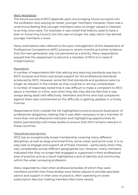#### Next generation

The future success of RICS depends upon encouraging future surveyors into the profession and valuing its newer, younger members. However, there was a unanimous feeling that younger members were no longer valued or listened to as they once were. For example, it was noted that Matrics used to have a seat on Governing Council, but this was no longer the case, which has denied younger members a voice.

Many submissions also referred to the poor management of the Assessment of Professional Competence (APC) process in recent months as further evidence that the next generation was not perceived as a priority. Many respondents argued that the assessment to become a member of RICS is in need of modernisation.

#### **Regulation**

A number of respondents felt that setting and assuring standards was key to RICS' purpose and there was broad support for the professional standards produced by RICS. However, some felt that standards and guidance were no longer as relevant in the market as they could be or are too complicated. A number of responses noted that it was difficult to make a complaint to RICS about a member or a firm, and when they did, they did not feel that it was always being dealt with effectively. Members and firms who had complaints against them also commented on the difficulty in getting updates in a timely manner.

Respondents from outside the UK highlighted concerns around duplication of professional obligations, stating that it was often necessary to be a member of more than one professional institution and highlighting opportunities for better partnerships with these bodies to ensure that RICS remains relevant in these countries.

#### Disciplines and sectors

RICS has an exceptionally broad membership covering many different disciplines, as well as large and small firms, some urban and some rural. It is no easy task to engage and support all of these interests – particularly when they vary considerably across different geographies too. However, many members indicated that they no longer feel engaged or supported in their professional area of practice and as a result highlighted a lack of identity and community within the wider surveying profession.

Many respondents cited other professional bodies of which they were members and felt that those bodies were better placed to provide specialist advice and support in their area of practice, often operating on lower subscription fees but making members feel more valued.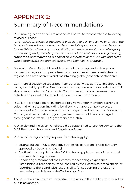## APPENDIX 2: Summary of Recommendations

RICS now agrees and seeks to amend its Charter to incorporate the following revised purpose: **1.**

*"The Institution exists for the benefit of society to deliver positive change in the built and natural environment in the United Kingdom and around the world. It does this by advancing and facilitating access to surveying knowledge, by maintaining and promoting the usefulness of the profession and by leading, supporting and regulating a body of skilled professional surveyors and firms who demonstrate the highest ethical and technical standards".*

- Governing Council should consider the global strategy and a delegation framework to give appropriate freedoms, resources and responsibilities to regional and area boards, whilst maintaining globally consistent standards. **2.**
- Commercial activity be separated from other activities at RICS. This should be led by a suitably qualified Executive with strong commercial experience, and it should report into the Commercial Committee, who should ensure these activities deliver value for members as well as value for money. **3.**
- RICS Matrics should be re-invigorated to give younger members a stronger voice in the Institution, including by allowing an appropriately selected representative from the community of younger members to sit on Governing Council, and participation by younger members should be encouraged throughout the whole RICS governance structure. **4.**
- A Diversity and Inclusion Panel should be established to provide advice to the RICS Board and Standards and Regulation Board. **5.**
- RICS needs to significantly improve its technology by: **6.**
	- Setting out the RICS technology strategy as part of the overall strategy approved by Governing Council
	- Confirming and updating the RICS technology plan as part of the annual business planning process
	- Appointing a member of the Board with technology experience
	- Establishing a Technology Panel chaired by the Board's co-opted specialist, reporting to the Board with responsibility for supporting the CIO and overseeing the delivery of the Technology Plan
- The RICS should reaffirm its commitment to work in the public interest and for public advantage. **7.**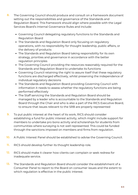- The Governing Council should produce and consult on a framework document setting out the responsibilities and governance of the Standards and Regulation Board. This framework should align where possible with the Legal Services Board's Internal Governance Rules and include: **8.**
	- Governing Council delegating regulatory functions to the Standards and Regulation Board
	- The Standards and Regulation Board only focusing on regulatory operations, with no responsibility for thought leadership, public affairs, or the delivery of products
	- The Standards and Regulation Board taking responsibility for its own strategy, priorities and governance in accordance with the better regulation principles
	- The Governing Council providing the resources reasonably required for the Standards and Regulation Board to undertake its functions
	- Governing Council retaining the right to assure itself that these regulatory functions are discharged effectively, whilst preserving the independence of individual regulatory decisions
	- The Standards and Regulation Board providing Governing Council with information it needs to assess whether the regulatory functions are being performed effectively
	- The Staff servicing the Standards and Regulation Board should be managed by a leader who is accountable to the Standards and Regulation Board through the Chair and who is also a part of the RICS Executive Board, to ensure that issues relevant to the SRB are properly represented
- To put public interest at the heart of its work, RICS should consider establishing a fund for public interest activity, which might include support for members to undertake pro bono activity and scholarships for students from communities where surveying is not well represented. This could be funded through the sanctions imposed on members and firms from regulation. **9.**
- A Public Interest Panel should be established to advise the Governing Council. **10.**
- RICS should develop further its thought leadership role. **11.**
- RICS should make it clearer how clients can complain or seek redress for inadequate service. **12.**
- The Standards and Regulation Board should consider the establishment of a Consumer Panel to report to the Board on consumer issues and the extent to which regulation is effective in the public interest. **13.**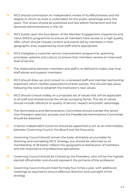- RICS should commission an independent review of its effectiveness and the degree to which its work is undertaken for the public advantage every five years. This review should be published and laid before Parliament and the devolved administrations in the UK. **14.**
- RICS builds upon the foundation of the Member Engagement, Experience and Value (MEEV) programme to ensure all members have access to a high quality offer, which should include content and events led by members in their geographic area, supported by local staff where appropriate. **15.**
- RICS instigates a customer service improvement programme, spanning processes, systems and culture, to ensure that members receive an improved level of service. **16.**
- The relationship between members and staff is re-defined to make clear that staff advise and support members. **17.**
- RICS should draw up, and consult on, a renewed staff and member partnership statement which clarifies expectations of both parties. This should take place following the work to establish the Institution's new values. **18.**
- RICS should consult widely on a proposed set of values that will be applicable to all staff and shared across the whole surveying family. This set of values should include reference to quality of service, respect and public advantage. **19.**
- The Nominations and Remuneration Committee should oversee the Senior Vice President selection process and the Presidential Nominations Committee should be dissolved. **20.**
- A Senior Independent Governor should be appointed to act as an intermediary between Governing Council, the Board and the Executive. **21.**
- Governing Council should remain the body ultimately accountable for directing and overseeing RICS' strategy, but should be reformed so its membership of 28 better reflects the geographical distribution of members and the importance of professional specialisms **22.**
- Governing Council should be Chaired by the President, who will be the highest elected officeholder and should represent the pinnacle of the profession. **23.**
- Governing Council should meet formally four times a year, with additional meetings as required to ensure effective direction and oversight of the strategy. **24.**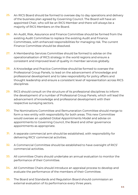- An RICS Board should be formed to oversee day to day operations and delivery of the business plan agreed by Governing Council. The Board will have an appointed Chair, who will be an RICS Member and there will always be a majority of RICS Members on the Board. **25.**
- An Audit, Risk, Assurance and Finance Committee should be formed from the existing Audit Committee to replace the existing Audit and Finance Committees, with enhanced responsibilities for managing risk. The current Finance Committee should be dissolved. **26.**
- A Membership Services Committee should be formed to advise on the operationalisation of RICS strategy in the world regions and ensure a consistent and improved level of quality in member services globally. **27.**
- A Knowledge and Practice Committee should be formed to oversee the Professional Group Panels, to lead on the advancement of knowledge and professional development and to take responsibility for policy affairs and thought leadership and ensure a consistent level of representation across RICS disciplines **28.**
- RICS should consult on the structure of its professional disciplines to inform the development of a number of Professional Group Panels, which will lead the advancement of knowledge and professional development with their respective surveying sectors. **29.**
- The Nominations Committee and Remuneration Committee should merge to form a new entity with responsibility for both areas. This new Committee would oversee an updated Global Appointments Model and advise on appointments to Governing Council, the Board and other governance appointments as appropriate. **30.**
- A separate commercial arm should be established, with responsibility for delivering RICS' commercial activities. **31.**
- A Commercial Committee should be established to have oversight of RICS' commercial activities. **32.**
- All committee Chairs should undertake an annual evaluation to monitor the performance of their Committee. **33.**
- All Committee Chairs should introduce an appraisal process to develop and **34.** evaluate the performance of the members of their Committee.
- The Board and Standards and Regulation Board should commission an external evaluation of its performance every three years. **35.**